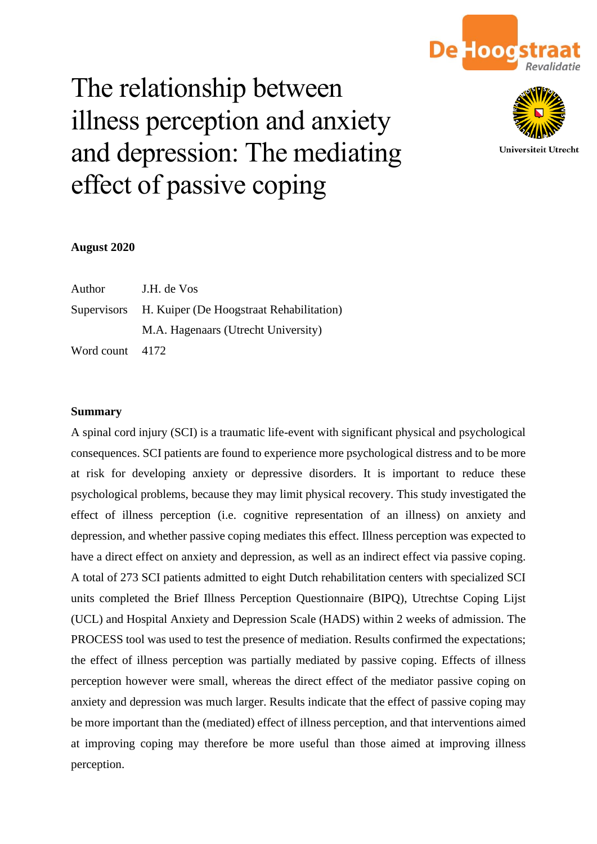

# The relationship between illness perception and anxiety and depression: The mediating effect of passive coping



Universiteit Utrecht

# **August 2020**

| Author          | J.H. de Vos                                          |
|-----------------|------------------------------------------------------|
|                 | Supervisors H. Kuiper (De Hoogstraat Rehabilitation) |
|                 | M.A. Hagenaars (Utrecht University)                  |
| Word count 4172 |                                                      |

# **Summary**

A spinal cord injury (SCI) is a traumatic life-event with significant physical and psychological consequences. SCI patients are found to experience more psychological distress and to be more at risk for developing anxiety or depressive disorders. It is important to reduce these psychological problems, because they may limit physical recovery. This study investigated the effect of illness perception (i.e. cognitive representation of an illness) on anxiety and depression, and whether passive coping mediates this effect. Illness perception was expected to have a direct effect on anxiety and depression, as well as an indirect effect via passive coping. A total of 273 SCI patients admitted to eight Dutch rehabilitation centers with specialized SCI units completed the Brief Illness Perception Questionnaire (BIPQ), Utrechtse Coping Lijst (UCL) and Hospital Anxiety and Depression Scale (HADS) within 2 weeks of admission. The PROCESS tool was used to test the presence of mediation. Results confirmed the expectations; the effect of illness perception was partially mediated by passive coping. Effects of illness perception however were small, whereas the direct effect of the mediator passive coping on anxiety and depression was much larger. Results indicate that the effect of passive coping may be more important than the (mediated) effect of illness perception, and that interventions aimed at improving coping may therefore be more useful than those aimed at improving illness perception.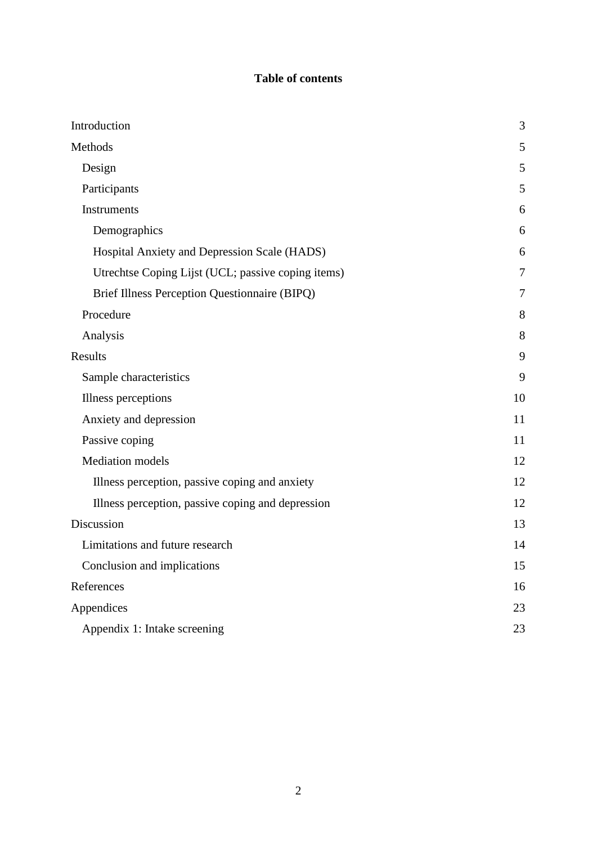# **Table of contents**

| Introduction                                       | 3              |
|----------------------------------------------------|----------------|
| Methods                                            | 5              |
| Design                                             | 5              |
| Participants                                       | 5              |
| Instruments                                        | 6              |
| Demographics                                       | 6              |
| Hospital Anxiety and Depression Scale (HADS)       | 6              |
| Utrechtse Coping Lijst (UCL; passive coping items) | 7              |
| Brief Illness Perception Questionnaire (BIPQ)      | $\overline{7}$ |
| Procedure                                          | 8              |
| Analysis                                           | 8              |
| Results                                            | 9              |
| Sample characteristics                             | 9              |
| Illness perceptions                                | 10             |
| Anxiety and depression                             | 11             |
| Passive coping                                     | 11             |
| <b>Mediation</b> models                            | 12             |
| Illness perception, passive coping and anxiety     | 12             |
| Illness perception, passive coping and depression  | 12             |
| Discussion                                         | 13             |
| Limitations and future research                    | 14             |
| Conclusion and implications                        | 15             |
| References                                         | 16             |
| Appendices                                         | 23             |
| Appendix 1: Intake screening                       | 23             |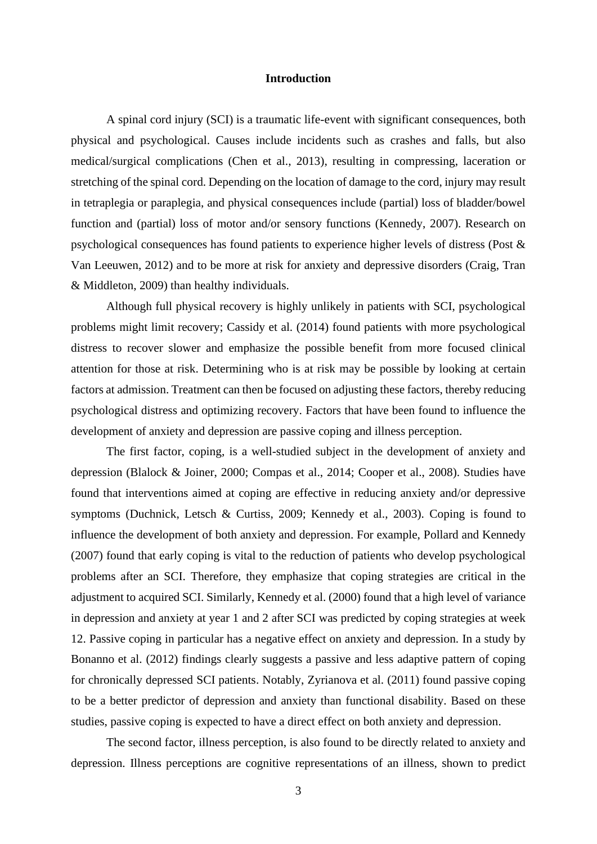#### **Introduction**

A spinal cord injury (SCI) is a traumatic life-event with significant consequences, both physical and psychological. Causes include incidents such as crashes and falls, but also medical/surgical complications (Chen et al., 2013), resulting in compressing, laceration or stretching of the spinal cord. Depending on the location of damage to the cord, injury may result in tetraplegia or paraplegia, and physical consequences include (partial) loss of bladder/bowel function and (partial) loss of motor and/or sensory functions (Kennedy, 2007). Research on psychological consequences has found patients to experience higher levels of distress (Post & Van Leeuwen, 2012) and to be more at risk for anxiety and depressive disorders (Craig, Tran & Middleton, 2009) than healthy individuals.

Although full physical recovery is highly unlikely in patients with SCI, psychological problems might limit recovery; Cassidy et al. (2014) found patients with more psychological distress to recover slower and emphasize the possible benefit from more focused clinical attention for those at risk. Determining who is at risk may be possible by looking at certain factors at admission. Treatment can then be focused on adjusting these factors, thereby reducing psychological distress and optimizing recovery. Factors that have been found to influence the development of anxiety and depression are passive coping and illness perception.

The first factor, coping, is a well-studied subject in the development of anxiety and depression (Blalock & Joiner, 2000; Compas et al., 2014; Cooper et al., 2008). Studies have found that interventions aimed at coping are effective in reducing anxiety and/or depressive symptoms (Duchnick, Letsch & Curtiss, 2009; Kennedy et al., 2003). Coping is found to influence the development of both anxiety and depression. For example, Pollard and Kennedy (2007) found that early coping is vital to the reduction of patients who develop psychological problems after an SCI. Therefore, they emphasize that coping strategies are critical in the adjustment to acquired SCI. Similarly, Kennedy et al. (2000) found that a high level of variance in depression and anxiety at year 1 and 2 after SCI was predicted by coping strategies at week 12. Passive coping in particular has a negative effect on anxiety and depression. In a study by Bonanno et al. (2012) findings clearly suggests a passive and less adaptive pattern of coping for chronically depressed SCI patients. Notably, Zyrianova et al. (2011) found passive coping to be a better predictor of depression and anxiety than functional disability. Based on these studies, passive coping is expected to have a direct effect on both anxiety and depression.

The second factor, illness perception, is also found to be directly related to anxiety and depression. Illness perceptions are cognitive representations of an illness, shown to predict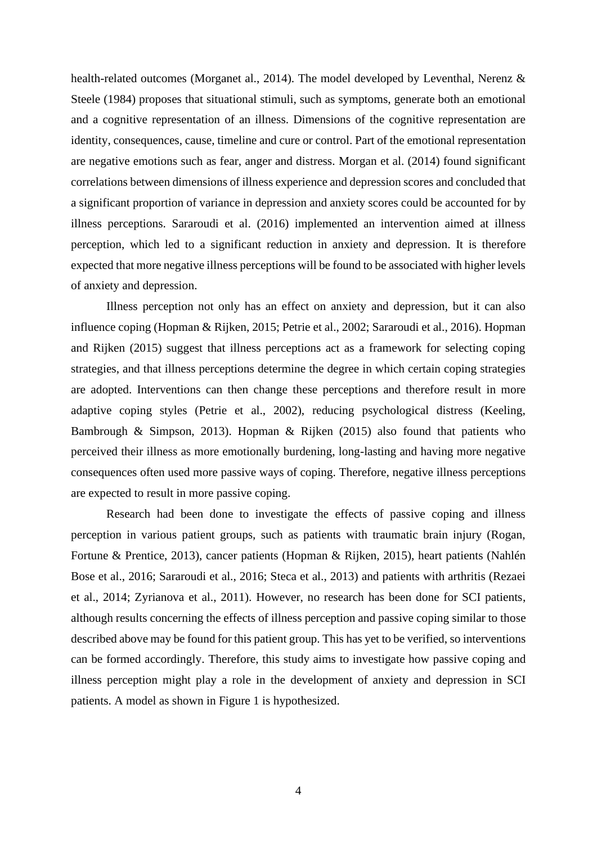health-related outcomes (Morganet al., 2014). The model developed by Leventhal, Nerenz & Steele (1984) proposes that situational stimuli, such as symptoms, generate both an emotional and a cognitive representation of an illness. Dimensions of the cognitive representation are identity, consequences, cause, timeline and cure or control. Part of the emotional representation are negative emotions such as fear, anger and distress. Morgan et al. (2014) found significant correlations between dimensions of illness experience and depression scores and concluded that a significant proportion of variance in depression and anxiety scores could be accounted for by illness perceptions. Sararoudi et al. (2016) implemented an intervention aimed at illness perception, which led to a significant reduction in anxiety and depression. It is therefore expected that more negative illness perceptions will be found to be associated with higher levels of anxiety and depression.

Illness perception not only has an effect on anxiety and depression, but it can also influence coping (Hopman & Rijken, 2015; Petrie et al., 2002; Sararoudi et al., 2016). Hopman and Rijken (2015) suggest that illness perceptions act as a framework for selecting coping strategies, and that illness perceptions determine the degree in which certain coping strategies are adopted. Interventions can then change these perceptions and therefore result in more adaptive coping styles (Petrie et al., 2002), reducing psychological distress (Keeling, Bambrough & Simpson, 2013). Hopman & Rijken (2015) also found that patients who perceived their illness as more emotionally burdening, long-lasting and having more negative consequences often used more passive ways of coping. Therefore, negative illness perceptions are expected to result in more passive coping.

Research had been done to investigate the effects of passive coping and illness perception in various patient groups, such as patients with traumatic brain injury (Rogan, Fortune & Prentice, 2013), cancer patients (Hopman & Rijken, 2015), heart patients (Nahlén Bose et al., 2016; Sararoudi et al., 2016; Steca et al., 2013) and patients with arthritis (Rezaei et al., 2014; Zyrianova et al., 2011). However, no research has been done for SCI patients, although results concerning the effects of illness perception and passive coping similar to those described above may be found for this patient group. This has yet to be verified, so interventions can be formed accordingly. Therefore, this study aims to investigate how passive coping and illness perception might play a role in the development of anxiety and depression in SCI patients. A model as shown in Figure 1 is hypothesized.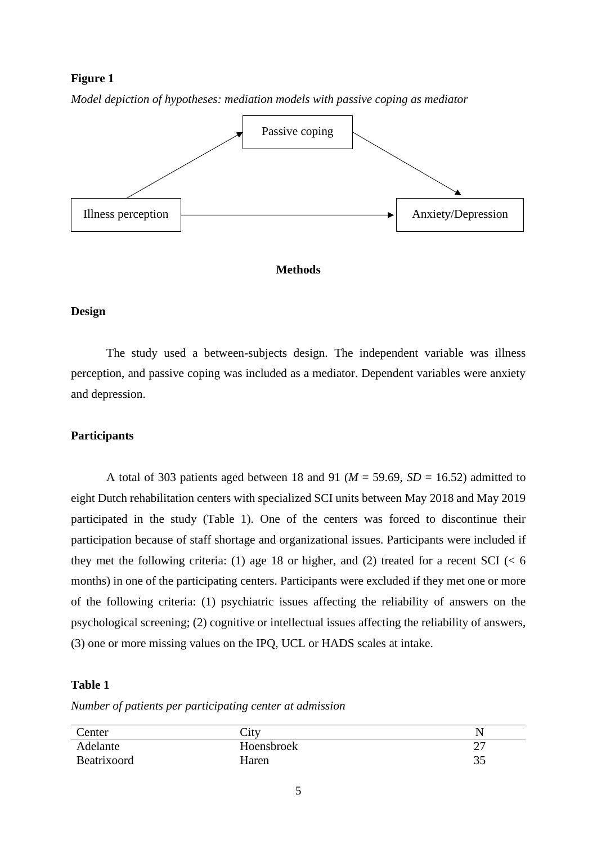# **Figure 1**



*Model depiction of hypotheses: mediation models with passive coping as mediator*

# **Methods**

#### **Design**

The study used a between-subjects design. The independent variable was illness perception, and passive coping was included as a mediator. Dependent variables were anxiety and depression.

#### **Participants**

A total of 303 patients aged between 18 and 91 ( $M = 59.69$ ,  $SD = 16.52$ ) admitted to eight Dutch rehabilitation centers with specialized SCI units between May 2018 and May 2019 participated in the study (Table 1). One of the centers was forced to discontinue their participation because of staff shortage and organizational issues. Participants were included if they met the following criteria: (1) age 18 or higher, and (2) treated for a recent SCI ( $< 6$ ) months) in one of the participating centers. Participants were excluded if they met one or more of the following criteria: (1) psychiatric issues affecting the reliability of answers on the psychological screening; (2) cognitive or intellectual issues affecting the reliability of answers, (3) one or more missing values on the IPQ, UCL or HADS scales at intake.

### **Table 1**

*Number of patients per participating center at admission*

| Center      | City       |                |
|-------------|------------|----------------|
| Adelante    | Hoensbroek | $\bigcap$<br>∸ |
| Beatrixoord | Haren      | 35             |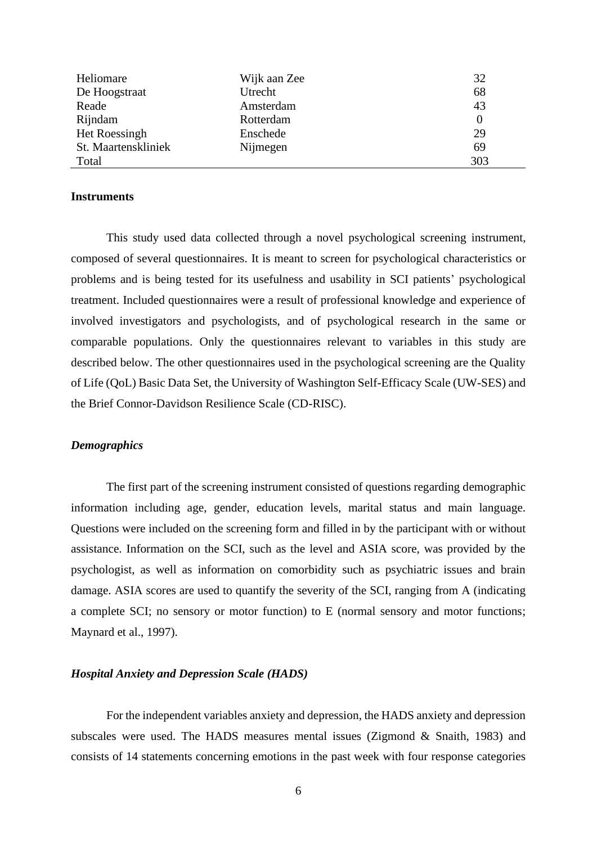| Heliomare           | Wijk aan Zee | 32  |
|---------------------|--------------|-----|
| De Hoogstraat       | Utrecht      | 68  |
| Reade               | Amsterdam    | 43  |
| Rijndam             | Rotterdam    |     |
| Het Roessingh       | Enschede     | 29  |
| St. Maartenskliniek | Nijmegen     | 69  |
| Total               |              | 303 |

#### **Instruments**

This study used data collected through a novel psychological screening instrument, composed of several questionnaires. It is meant to screen for psychological characteristics or problems and is being tested for its usefulness and usability in SCI patients' psychological treatment. Included questionnaires were a result of professional knowledge and experience of involved investigators and psychologists, and of psychological research in the same or comparable populations. Only the questionnaires relevant to variables in this study are described below. The other questionnaires used in the psychological screening are the Quality of Life (QoL) Basic Data Set, the University of Washington Self-Efficacy Scale (UW-SES) and the Brief Connor-Davidson Resilience Scale (CD-RISC).

#### *Demographics*

The first part of the screening instrument consisted of questions regarding demographic information including age, gender, education levels, marital status and main language. Questions were included on the screening form and filled in by the participant with or without assistance. Information on the SCI, such as the level and ASIA score, was provided by the psychologist, as well as information on comorbidity such as psychiatric issues and brain damage. ASIA scores are used to quantify the severity of the SCI, ranging from A (indicating a complete SCI; no sensory or motor function) to E (normal sensory and motor functions; Maynard et al., 1997).

#### *Hospital Anxiety and Depression Scale (HADS)*

For the independent variables anxiety and depression, the HADS anxiety and depression subscales were used. The HADS measures mental issues (Zigmond & Snaith, 1983) and consists of 14 statements concerning emotions in the past week with four response categories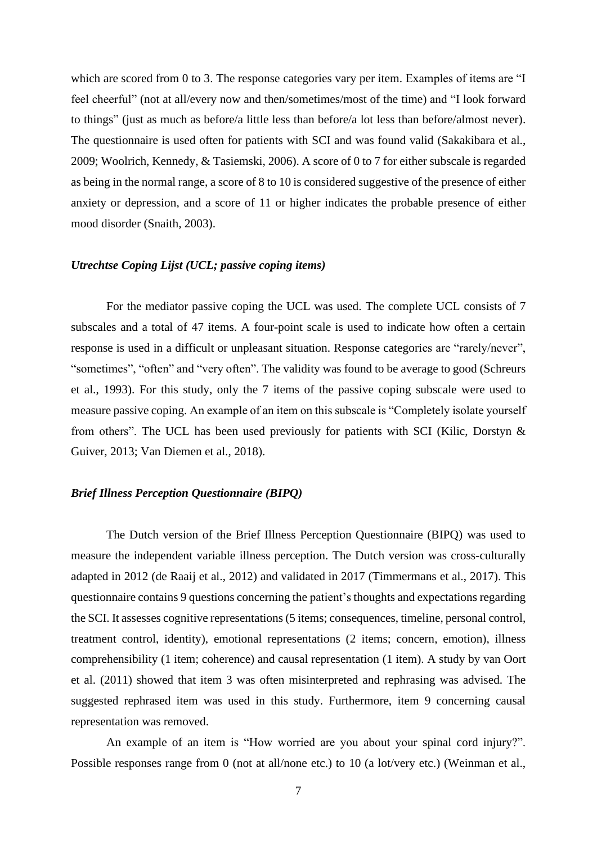which are scored from 0 to 3. The response categories vary per item. Examples of items are "I feel cheerful" (not at all/every now and then/sometimes/most of the time) and "I look forward to things" (just as much as before/a little less than before/a lot less than before/almost never). The questionnaire is used often for patients with SCI and was found valid (Sakakibara et al., 2009; Woolrich, Kennedy, & Tasiemski, 2006). A score of 0 to 7 for either subscale is regarded as being in the normal range, a score of 8 to 10 is considered suggestive of the presence of either anxiety or depression, and a score of 11 or higher indicates the probable presence of either mood disorder (Snaith, 2003).

#### *Utrechtse Coping Lijst (UCL; passive coping items)*

For the mediator passive coping the UCL was used. The complete UCL consists of 7 subscales and a total of 47 items. A four-point scale is used to indicate how often a certain response is used in a difficult or unpleasant situation. Response categories are "rarely/never", "sometimes", "often" and "very often". The validity was found to be average to good (Schreurs et al., 1993). For this study, only the 7 items of the passive coping subscale were used to measure passive coping. An example of an item on this subscale is "Completely isolate yourself from others". The UCL has been used previously for patients with SCI (Kilic, Dorstyn & Guiver, 2013; Van Diemen et al., 2018).

# *Brief Illness Perception Questionnaire (BIPQ)*

The Dutch version of the Brief Illness Perception Questionnaire (BIPQ) was used to measure the independent variable illness perception. The Dutch version was cross-culturally adapted in 2012 (de Raaij et al., 2012) and validated in 2017 (Timmermans et al., 2017). This questionnaire contains 9 questions concerning the patient's thoughts and expectations regarding the SCI. It assesses cognitive representations (5 items; consequences, timeline, personal control, treatment control, identity), emotional representations (2 items; concern, emotion), illness comprehensibility (1 item; coherence) and causal representation (1 item). A study by van Oort et al. (2011) showed that item 3 was often misinterpreted and rephrasing was advised. The suggested rephrased item was used in this study. Furthermore, item 9 concerning causal representation was removed.

An example of an item is "How worried are you about your spinal cord injury?". Possible responses range from 0 (not at all/none etc.) to 10 (a lot/very etc.) (Weinman et al.,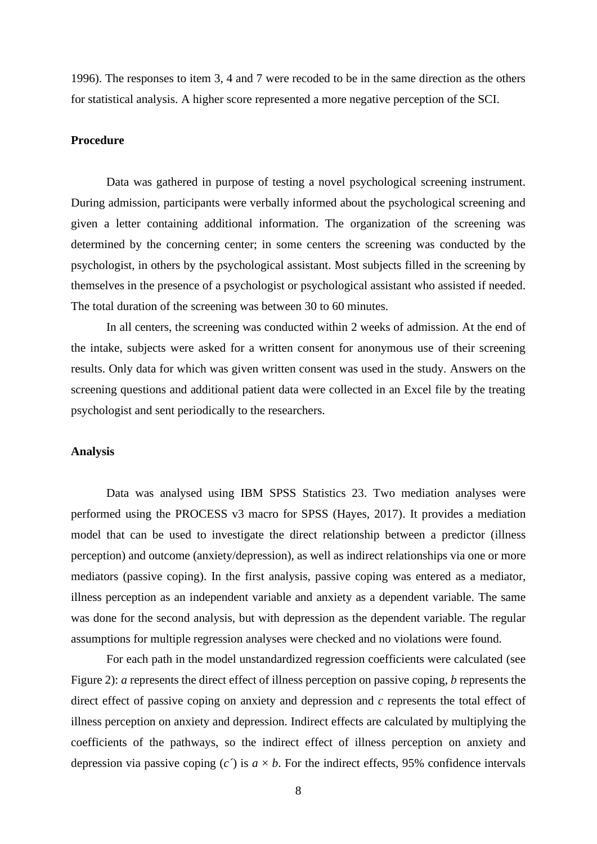1996). The responses to item 3, 4 and 7 were recoded to be in the same direction as the others for statistical analysis. A higher score represented a more negative perception of the SCI.

# **Procedure**

Data was gathered in purpose of testing a novel psychological screening instrument. During admission, participants were verbally informed about the psychological screening and given a letter containing additional information. The organization of the screening was determined by the concerning center; in some centers the screening was conducted by the psychologist, in others by the psychological assistant. Most subjects filled in the screening by themselves in the presence of a psychologist or psychological assistant who assisted if needed. The total duration of the screening was between 30 to 60 minutes.

In all centers, the screening was conducted within 2 weeks of admission. At the end of the intake, subjects were asked for a written consent for anonymous use of their screening results. Only data for which was given written consent was used in the study. Answers on the screening questions and additional patient data were collected in an Excel file by the treating psychologist and sent periodically to the researchers.

#### **Analysis**

Data was analysed using IBM SPSS Statistics 23. Two mediation analyses were performed using the PROCESS v3 macro for SPSS (Hayes, 2017). It provides a mediation model that can be used to investigate the direct relationship between a predictor (illness perception) and outcome (anxiety/depression), as well as indirect relationships via one or more mediators (passive coping). In the first analysis, passive coping was entered as a mediator, illness perception as an independent variable and anxiety as a dependent variable. The same was done for the second analysis, but with depression as the dependent variable. The regular assumptions for multiple regression analyses were checked and no violations were found.

For each path in the model unstandardized regression coefficients were calculated (see Figure 2): *a* represents the direct effect of illness perception on passive coping, *b* represents the direct effect of passive coping on anxiety and depression and *c* represents the total effect of illness perception on anxiety and depression. Indirect effects are calculated by multiplying the coefficients of the pathways, so the indirect effect of illness perception on anxiety and depression via passive coping  $(c<sup>2</sup>)$  is  $a \times b$ . For the indirect effects, 95% confidence intervals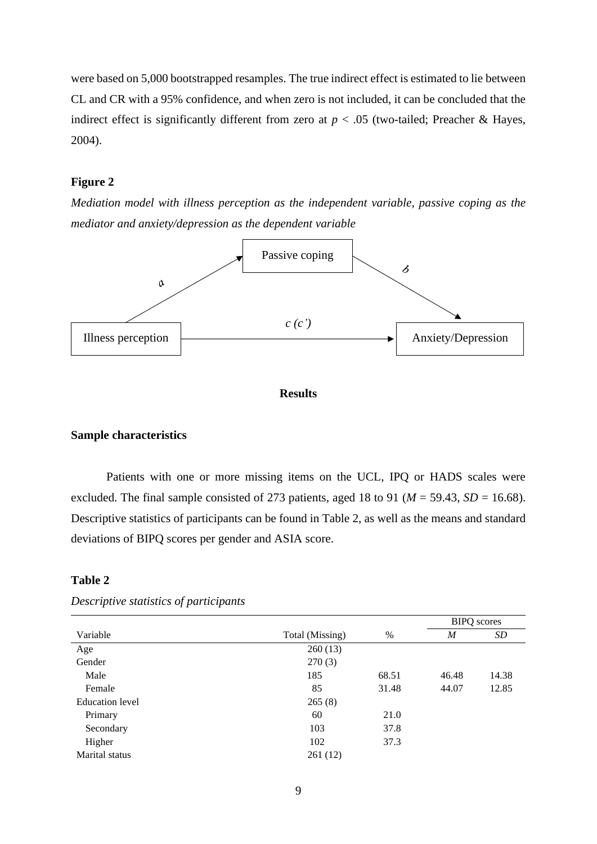were based on 5,000 bootstrapped resamples. The true indirect effect is estimated to lie between CL and CR with a 95% confidence, and when zero is not included, it can be concluded that the indirect effect is significantly different from zero at  $p < .05$  (two-tailed; Preacher & Hayes, 2004).

# **Figure 2**

*Mediation model with illness perception as the independent variable, passive coping as the mediator and anxiety/depression as the dependent variable*



#### **Results**

# **Sample characteristics**

Patients with one or more missing items on the UCL, IPQ or HADS scales were excluded. The final sample consisted of 273 patients, aged 18 to 91 ( $M = 59.43$ ,  $SD = 16.68$ ). Descriptive statistics of participants can be found in Table 2, as well as the means and standard deviations of BIPQ scores per gender and ASIA score.

#### **Table 2**

|                        |                 |       |       | <b>BIPQ</b> scores |
|------------------------|-----------------|-------|-------|--------------------|
| Variable               | Total (Missing) | %     | M     | SD                 |
| Age                    | 260(13)         |       |       |                    |
| Gender                 | 270(3)          |       |       |                    |
| Male                   | 185             | 68.51 | 46.48 | 14.38              |
| Female                 | 85              | 31.48 | 44.07 | 12.85              |
| <b>Education</b> level | 265(8)          |       |       |                    |
| Primary                | 60              | 21.0  |       |                    |
| Secondary              | 103             | 37.8  |       |                    |
| Higher                 | 102             | 37.3  |       |                    |
| Marital status         | 261(12)         |       |       |                    |

*Descriptive statistics of participants*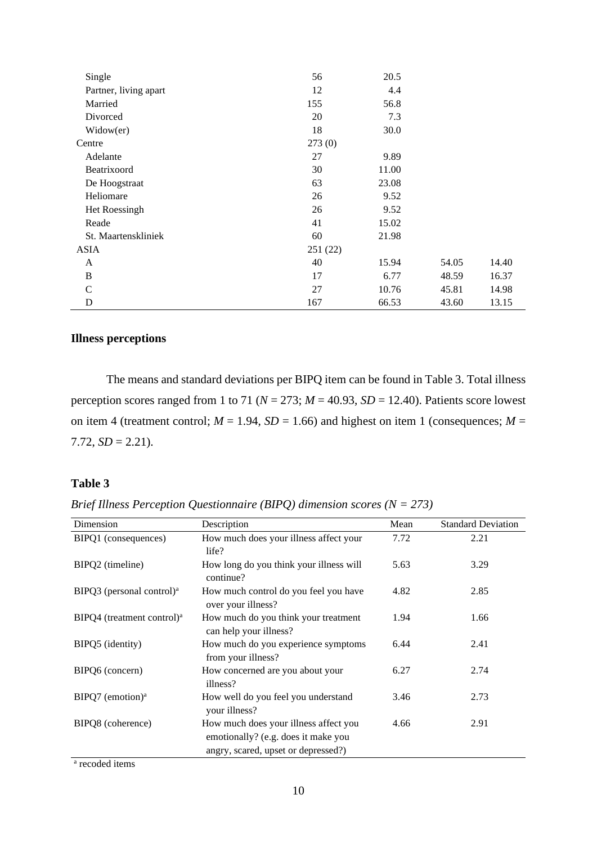| Single                | 56      | 20.5  |       |       |
|-----------------------|---------|-------|-------|-------|
| Partner, living apart | 12      | 4.4   |       |       |
| Married               | 155     | 56.8  |       |       |
| Divorced              | 20      | 7.3   |       |       |
| Widow(er)             | 18      | 30.0  |       |       |
| Centre                | 273(0)  |       |       |       |
| Adelante              | 27      | 9.89  |       |       |
| Beatrixoord           | 30      | 11.00 |       |       |
| De Hoogstraat         | 63      | 23.08 |       |       |
| Heliomare             | 26      | 9.52  |       |       |
| Het Roessingh         | 26      | 9.52  |       |       |
| Reade                 | 41      | 15.02 |       |       |
| St. Maartenskliniek   | 60      | 21.98 |       |       |
| <b>ASIA</b>           | 251(22) |       |       |       |
| A                     | 40      | 15.94 | 54.05 | 14.40 |
| B                     | 17      | 6.77  | 48.59 | 16.37 |
| C                     | 27      | 10.76 | 45.81 | 14.98 |
| D                     | 167     | 66.53 | 43.60 | 13.15 |

# **Illness perceptions**

The means and standard deviations per BIPQ item can be found in Table 3. Total illness perception scores ranged from 1 to 71 ( $N = 273$ ;  $M = 40.93$ ,  $SD = 12.40$ ). Patients score lowest on item 4 (treatment control;  $M = 1.94$ ,  $SD = 1.66$ ) and highest on item 1 (consequences;  $M =$ 7.72,  $SD = 2.21$ ).

# **Table 3**

| Brief Illness Perception Questionnaire (BIPQ) dimension scores ( $N = 273$ ) |  |  |  |
|------------------------------------------------------------------------------|--|--|--|
|------------------------------------------------------------------------------|--|--|--|

| Dimension                                | Description                                                                                                         | Mean | <b>Standard Deviation</b> |
|------------------------------------------|---------------------------------------------------------------------------------------------------------------------|------|---------------------------|
| BIPQ1 (consequences)                     | How much does your illness affect your<br>life?                                                                     | 7.72 | 2.21                      |
| BIPQ2 (timeline)                         | How long do you think your illness will<br>continue?                                                                | 5.63 | 3.29                      |
| BIPQ3 (personal control) <sup>a</sup>    | How much control do you feel you have<br>over your illness?                                                         | 4.82 | 2.85                      |
| $BIPQ4$ (treatment control) <sup>a</sup> | How much do you think your treatment<br>can help your illness?                                                      | 1.94 | 1.66                      |
| BIPQ5 (identity)                         | How much do you experience symptoms<br>from your illness?                                                           | 6.44 | 2.41                      |
| BIPQ6 (concern)                          | How concerned are you about your<br>illness?                                                                        | 6.27 | 2.74                      |
| BIPQ7 (emotion) <sup>a</sup>             | How well do you feel you understand<br>your illness?                                                                | 3.46 | 2.73                      |
| BIPQ8 (coherence)                        | How much does your illness affect you<br>emotionally? (e.g. does it make you<br>angry, scared, upset or depressed?) | 4.66 | 2.91                      |

a recoded items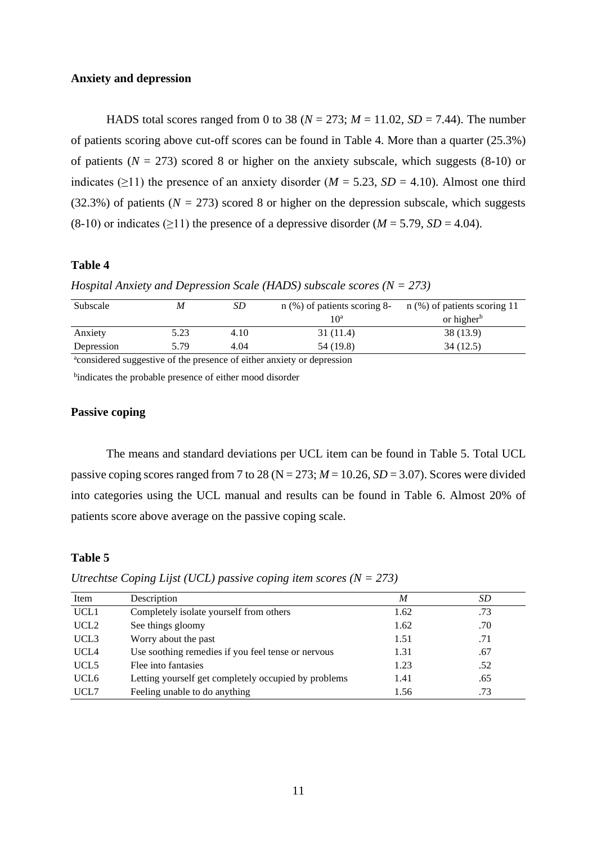#### **Anxiety and depression**

HADS total scores ranged from 0 to 38 ( $N = 273$ ;  $M = 11.02$ ,  $SD = 7.44$ ). The number of patients scoring above cut-off scores can be found in Table 4. More than a quarter (25.3%) of patients ( $N = 273$ ) scored 8 or higher on the anxiety subscale, which suggests (8-10) or indicates ( $\geq$ 11) the presence of an anxiety disorder (*M* = 5.23, *SD* = 4.10). Almost one third (32.3%) of patients ( $N = 273$ ) scored 8 or higher on the depression subscale, which suggests  $(8-10)$  or indicates ( $\geq$ 11) the presence of a depressive disorder (*M* = 5.79, *SD* = 4.04).

#### **Table 4**

*Hospital Anxiety and Depression Scale (HADS) subscale scores (N = 273)*

| or higher <sup>b</sup> |
|------------------------|
| 38 (13.9)              |
| 34 (12.5)              |
|                        |

<sup>a</sup>considered suggestive of the presence of either anxiety or depression

<sup>b</sup>indicates the probable presence of either mood disorder

# **Passive coping**

The means and standard deviations per UCL item can be found in Table 5. Total UCL passive coping scores ranged from 7 to 28 ( $N = 273$ ;  $M = 10.26$ ,  $SD = 3.07$ ). Scores were divided into categories using the UCL manual and results can be found in Table 6. Almost 20% of patients score above average on the passive coping scale.

### **Table 5**

*Utrechtse Coping Lijst (UCL) passive coping item scores (N = 273)*

| Item             | Description                                          | M    | SD  |
|------------------|------------------------------------------------------|------|-----|
| UCL <sub>1</sub> | Completely isolate yourself from others              | 1.62 | .73 |
| UCL <sub>2</sub> | See things gloomy                                    | 1.62 | .70 |
| UCL <sub>3</sub> | Worry about the past                                 | 1.51 | .71 |
| UCL4             | Use soothing remedies if you feel tense or nervous   | 1.31 | .67 |
| UCL <sub>5</sub> | Flee into fantasies                                  | 1.23 | .52 |
| UCL <sub>6</sub> | Letting yourself get completely occupied by problems | 1.41 | .65 |
| UCL7             | Feeling unable to do anything                        | 1.56 | .73 |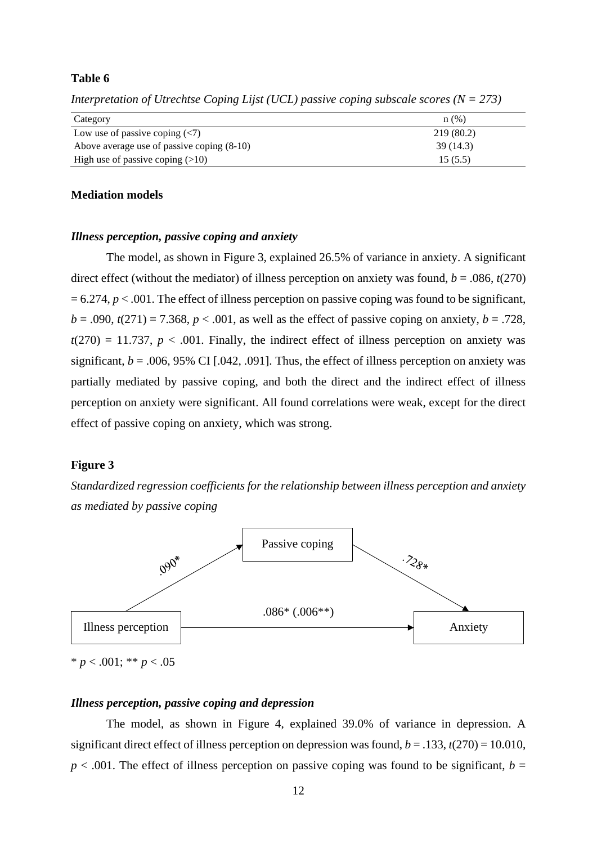# **Table 6**

| Category                                                                 | n(%)       |
|--------------------------------------------------------------------------|------------|
| Low use of passive coping $\left\langle \langle 7 \rangle \right\rangle$ | 219 (80.2) |
| Above average use of passive coping (8-10)                               | 39 (14.3)  |
| High use of passive coping $(>10)$                                       | 15(5.5)    |

*Interpretation of Utrechtse Coping Lijst (UCL) passive coping subscale scores (N = 273)*

# **Mediation models**

#### *Illness perception, passive coping and anxiety*

The model, as shown in Figure 3, explained 26.5% of variance in anxiety. A significant direct effect (without the mediator) of illness perception on anxiety was found,  $b = .086$ ,  $t(270)$  $= 6.274$ ,  $p < .001$ . The effect of illness perception on passive coping was found to be significant,  $b = .090$ ,  $t(271) = 7.368$ ,  $p < .001$ , as well as the effect of passive coping on anxiety,  $b = .728$ ,  $t(270) = 11.737$ ,  $p < .001$ . Finally, the indirect effect of illness perception on anxiety was significant,  $b = .006, 95\%$  CI [.042, .091]. Thus, the effect of illness perception on anxiety was partially mediated by passive coping, and both the direct and the indirect effect of illness perception on anxiety were significant. All found correlations were weak, except for the direct effect of passive coping on anxiety, which was strong.

#### **Figure 3**

*Standardized regression coefficients for the relationship between illness perception and anxiety as mediated by passive coping*



 $* p < .001; ** p < .05$ 

#### *Illness perception, passive coping and depression*

The model, as shown in Figure 4, explained 39.0% of variance in depression. A significant direct effect of illness perception on depression was found,  $b = .133$ ,  $t(270) = 10.010$ ,  $p < .001$ . The effect of illness perception on passive coping was found to be significant,  $b =$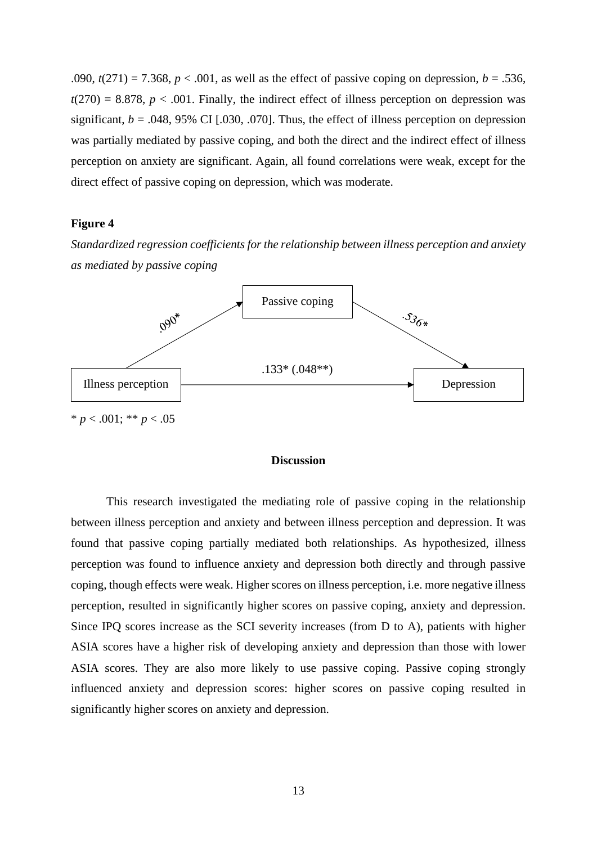.090,  $t(271) = 7.368$ ,  $p < .001$ , as well as the effect of passive coping on depression,  $b = .536$ ,  $t(270) = 8.878$ ,  $p < .001$ . Finally, the indirect effect of illness perception on depression was significant,  $b = .048, 95\%$  CI [.030, .070]. Thus, the effect of illness perception on depression was partially mediated by passive coping, and both the direct and the indirect effect of illness perception on anxiety are significant. Again, all found correlations were weak, except for the direct effect of passive coping on depression, which was moderate.

#### **Figure 4**

*Standardized regression coefficients for the relationship between illness perception and anxiety as mediated by passive coping*



# **Discussion**

This research investigated the mediating role of passive coping in the relationship between illness perception and anxiety and between illness perception and depression. It was found that passive coping partially mediated both relationships. As hypothesized, illness perception was found to influence anxiety and depression both directly and through passive coping, though effects were weak. Higher scores on illness perception, i.e. more negative illness perception, resulted in significantly higher scores on passive coping, anxiety and depression. Since IPQ scores increase as the SCI severity increases (from D to A), patients with higher ASIA scores have a higher risk of developing anxiety and depression than those with lower ASIA scores. They are also more likely to use passive coping. Passive coping strongly influenced anxiety and depression scores: higher scores on passive coping resulted in significantly higher scores on anxiety and depression.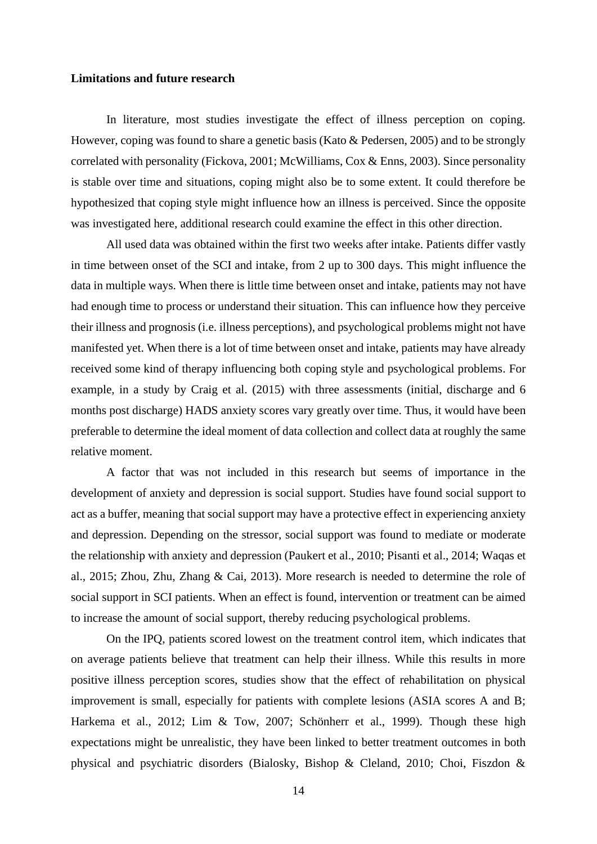# **Limitations and future research**

In literature, most studies investigate the effect of illness perception on coping. However, coping was found to share a genetic basis (Kato & Pedersen, 2005) and to be strongly correlated with personality (Fickova, 2001; McWilliams, Cox & Enns, 2003). Since personality is stable over time and situations, coping might also be to some extent. It could therefore be hypothesized that coping style might influence how an illness is perceived. Since the opposite was investigated here, additional research could examine the effect in this other direction.

All used data was obtained within the first two weeks after intake. Patients differ vastly in time between onset of the SCI and intake, from 2 up to 300 days. This might influence the data in multiple ways. When there is little time between onset and intake, patients may not have had enough time to process or understand their situation. This can influence how they perceive their illness and prognosis (i.e. illness perceptions), and psychological problems might not have manifested yet. When there is a lot of time between onset and intake, patients may have already received some kind of therapy influencing both coping style and psychological problems. For example, in a study by Craig et al. (2015) with three assessments (initial, discharge and 6 months post discharge) HADS anxiety scores vary greatly over time. Thus, it would have been preferable to determine the ideal moment of data collection and collect data at roughly the same relative moment.

A factor that was not included in this research but seems of importance in the development of anxiety and depression is social support. Studies have found social support to act as a buffer, meaning that social support may have a protective effect in experiencing anxiety and depression. Depending on the stressor, social support was found to mediate or moderate the relationship with anxiety and depression (Paukert et al., 2010; Pisanti et al., 2014; Waqas et al., 2015; Zhou, Zhu, Zhang & Cai, 2013). More research is needed to determine the role of social support in SCI patients. When an effect is found, intervention or treatment can be aimed to increase the amount of social support, thereby reducing psychological problems.

On the IPQ, patients scored lowest on the treatment control item, which indicates that on average patients believe that treatment can help their illness. While this results in more positive illness perception scores, studies show that the effect of rehabilitation on physical improvement is small, especially for patients with complete lesions (ASIA scores A and B; Harkema et al., 2012; Lim & Tow, 2007; Schönherr et al., 1999). Though these high expectations might be unrealistic, they have been linked to better treatment outcomes in both physical and psychiatric disorders (Bialosky, Bishop & Cleland, 2010; Choi, Fiszdon &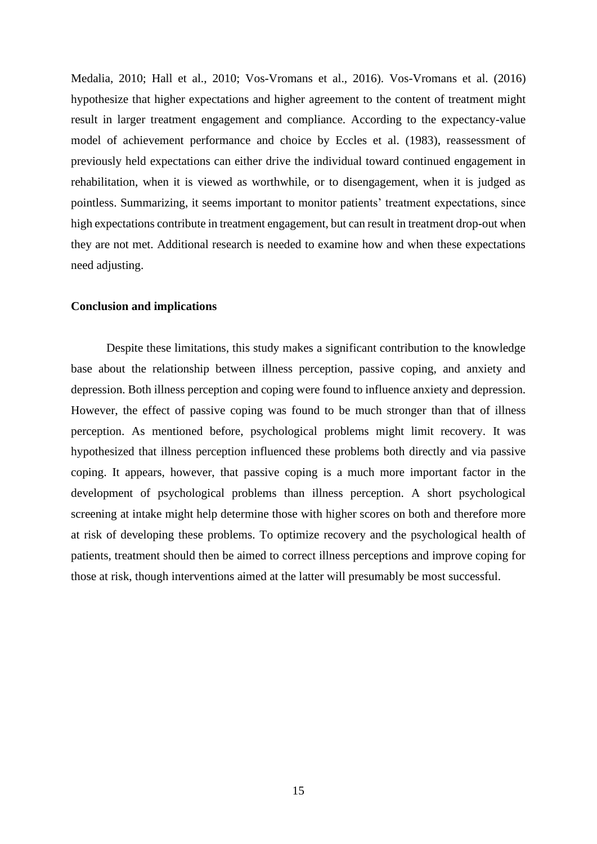Medalia, 2010; Hall et al., 2010; Vos-Vromans et al., 2016). Vos-Vromans et al. (2016) hypothesize that higher expectations and higher agreement to the content of treatment might result in larger treatment engagement and compliance. According to the expectancy-value model of achievement performance and choice by Eccles et al. (1983), reassessment of previously held expectations can either drive the individual toward continued engagement in rehabilitation, when it is viewed as worthwhile, or to disengagement, when it is judged as pointless. Summarizing, it seems important to monitor patients' treatment expectations, since high expectations contribute in treatment engagement, but can result in treatment drop-out when they are not met. Additional research is needed to examine how and when these expectations need adjusting.

#### **Conclusion and implications**

Despite these limitations, this study makes a significant contribution to the knowledge base about the relationship between illness perception, passive coping, and anxiety and depression. Both illness perception and coping were found to influence anxiety and depression. However, the effect of passive coping was found to be much stronger than that of illness perception. As mentioned before, psychological problems might limit recovery. It was hypothesized that illness perception influenced these problems both directly and via passive coping. It appears, however, that passive coping is a much more important factor in the development of psychological problems than illness perception. A short psychological screening at intake might help determine those with higher scores on both and therefore more at risk of developing these problems. To optimize recovery and the psychological health of patients, treatment should then be aimed to correct illness perceptions and improve coping for those at risk, though interventions aimed at the latter will presumably be most successful.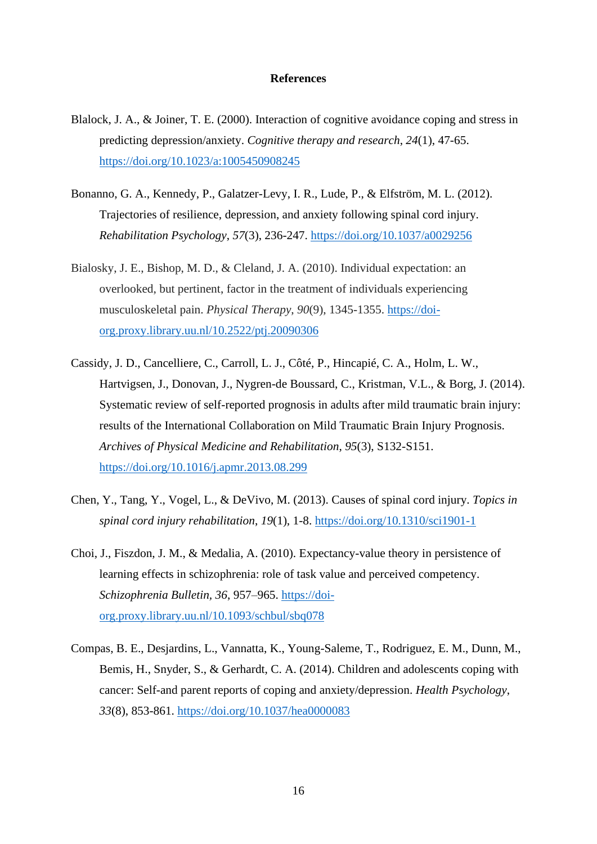#### **References**

- Blalock, J. A., & Joiner, T. E. (2000). Interaction of cognitive avoidance coping and stress in predicting depression/anxiety. *Cognitive therapy and research*, *24*(1), 47-65. <https://doi.org/10.1023/a:1005450908245>
- Bonanno, G. A., Kennedy, P., Galatzer-Levy, I. R., Lude, P., & Elfström, M. L. (2012). Trajectories of resilience, depression, and anxiety following spinal cord injury. *Rehabilitation Psychology*, *57*(3), 236-247. <https://doi.org/10.1037/a0029256>
- Bialosky, J. E., Bishop, M. D., & Cleland, J. A. (2010). Individual expectation: an overlooked, but pertinent, factor in the treatment of individuals experiencing musculoskeletal pain. *Physical Therapy*, *90*(9), 1345-1355. [https://doi](https://doi-org.proxy.library.uu.nl/10.2522/ptj.20090306)[org.proxy.library.uu.nl/10.2522/ptj.20090306](https://doi-org.proxy.library.uu.nl/10.2522/ptj.20090306)
- Cassidy, J. D., Cancelliere, C., Carroll, L. J., Côté, P., Hincapié, C. A., Holm, L. W., Hartvigsen, J., Donovan, J., Nygren-de Boussard, C., Kristman, V.L., & Borg, J. (2014). Systematic review of self-reported prognosis in adults after mild traumatic brain injury: results of the International Collaboration on Mild Traumatic Brain Injury Prognosis. *Archives of Physical Medicine and Rehabilitation*, *95*(3), S132-S151. <https://doi.org/10.1016/j.apmr.2013.08.299>
- Chen, Y., Tang, Y., Vogel, L., & DeVivo, M. (2013). Causes of spinal cord injury. *Topics in spinal cord injury rehabilitation*, *19*(1), 1-8. <https://doi.org/10.1310/sci1901-1>
- Choi, J., Fiszdon, J. M., & Medalia, A. (2010). Expectancy-value theory in persistence of learning effects in schizophrenia: role of task value and perceived competency. *Schizophrenia Bulletin, 36*, 957–965. [https://doi](https://doi-org.proxy.library.uu.nl/10.1093/schbul/sbq078)[org.proxy.library.uu.nl/10.1093/schbul/sbq078](https://doi-org.proxy.library.uu.nl/10.1093/schbul/sbq078)
- Compas, B. E., Desjardins, L., Vannatta, K., Young-Saleme, T., Rodriguez, E. M., Dunn, M., Bemis, H., Snyder, S., & Gerhardt, C. A. (2014). Children and adolescents coping with cancer: Self-and parent reports of coping and anxiety/depression. *Health Psychology*, *33*(8), 853-861. <https://doi.org/10.1037/hea0000083>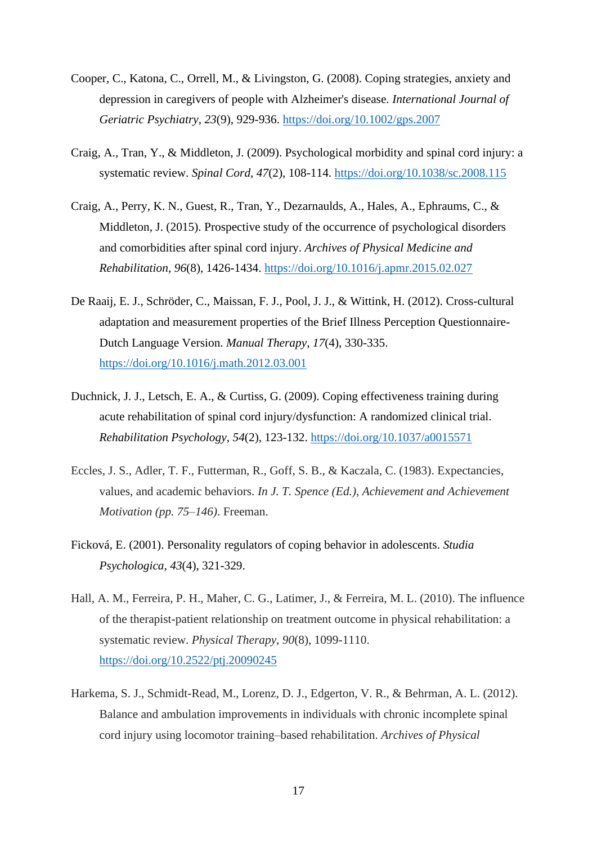- Cooper, C., Katona, C., Orrell, M., & Livingston, G. (2008). Coping strategies, anxiety and depression in caregivers of people with Alzheimer's disease. *International Journal of Geriatric Psychiatry*, *23*(9), 929-936. <https://doi.org/10.1002/gps.2007>
- Craig, A., Tran, Y., & Middleton, J. (2009). Psychological morbidity and spinal cord injury: a systematic review. *Spinal Cord, 47*(2), 108-114. <https://doi.org/10.1038/sc.2008.115>
- Craig, A., Perry, K. N., Guest, R., Tran, Y., Dezarnaulds, A., Hales, A., Ephraums, C., & Middleton, J. (2015). Prospective study of the occurrence of psychological disorders and comorbidities after spinal cord injury. *Archives of Physical Medicine and Rehabilitation, 96*(8), 1426-1434. <https://doi.org/10.1016/j.apmr.2015.02.027>
- De Raaij, E. J., Schröder, C., Maissan, F. J., Pool, J. J., & Wittink, H. (2012). Cross-cultural adaptation and measurement properties of the Brief Illness Perception Questionnaire-Dutch Language Version. *Manual Therapy, 17*(4), 330-335. <https://doi.org/10.1016/j.math.2012.03.001>
- Duchnick, J. J., Letsch, E. A., & Curtiss, G. (2009). Coping effectiveness training during acute rehabilitation of spinal cord injury/dysfunction: A randomized clinical trial. *Rehabilitation Psychology*, *54*(2), 123-132. <https://doi.org/10.1037/a0015571>
- Eccles, J. S., Adler, T. F., Futterman, R., Goff, S. B., & Kaczala, C. (1983). Expectancies, values, and academic behaviors. *In J. T. Spence (Ed.), Achievement and Achievement Motivation (pp. 75–146)*. Freeman.
- Ficková, E. (2001). Personality regulators of coping behavior in adolescents. *Studia Psychologica, 43*(4), 321-329.
- Hall, A. M., Ferreira, P. H., Maher, C. G., Latimer, J., & Ferreira, M. L. (2010). The influence of the therapist-patient relationship on treatment outcome in physical rehabilitation: a systematic review. *Physical Therapy*, *90*(8), 1099-1110. <https://doi.org/10.2522/ptj.20090245>
- Harkema, S. J., Schmidt-Read, M., Lorenz, D. J., Edgerton, V. R., & Behrman, A. L. (2012). Balance and ambulation improvements in individuals with chronic incomplete spinal cord injury using locomotor training–based rehabilitation. *Archives of Physical*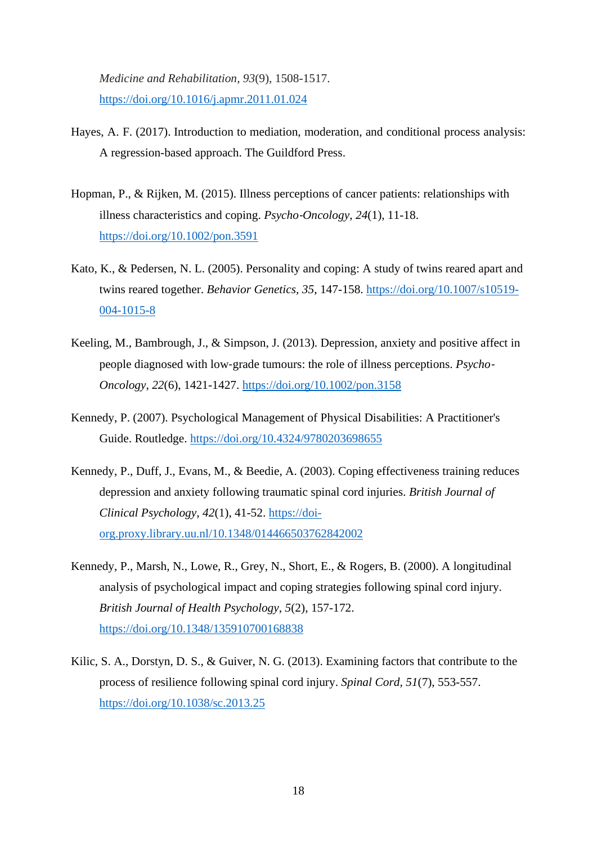*Medicine and Rehabilitation*, *93*(9), 1508-1517. <https://doi.org/10.1016/j.apmr.2011.01.024>

- Hayes, A. F. (2017). Introduction to mediation, moderation, and conditional process analysis: A regression-based approach. The Guildford Press.
- Hopman, P., & Rijken, M. (2015). Illness perceptions of cancer patients: relationships with illness characteristics and coping. *Psycho*‐*Oncology*, *24*(1), 11-18. <https://doi.org/10.1002/pon.3591>
- Kato, K., & Pedersen, N. L. (2005). Personality and coping: A study of twins reared apart and twins reared together. *Behavior Genetics, 35*, 147-158. [https://doi.org/10.1007/s10519-](https://doi.org/10.1007/s10519-004-1015-8) [004-1015-8](https://doi.org/10.1007/s10519-004-1015-8)
- Keeling, M., Bambrough, J., & Simpson, J. (2013). Depression, anxiety and positive affect in people diagnosed with low‐grade tumours: the role of illness perceptions. *Psycho*‐ *Oncology*, *22*(6), 1421-1427. <https://doi.org/10.1002/pon.3158>
- Kennedy, P. (2007). Psychological Management of Physical Disabilities: A Practitioner's Guide. Routledge. <https://doi.org/10.4324/9780203698655>
- Kennedy, P., Duff, J., Evans, M., & Beedie, A. (2003). Coping effectiveness training reduces depression and anxiety following traumatic spinal cord injuries. *British Journal of Clinical Psychology*, *42*(1), 41-52. [https://doi](https://doi-org.proxy.library.uu.nl/10.1348/014466503762842002)[org.proxy.library.uu.nl/10.1348/014466503762842002](https://doi-org.proxy.library.uu.nl/10.1348/014466503762842002)
- Kennedy, P., Marsh, N., Lowe, R., Grey, N., Short, E., & Rogers, B. (2000). A longitudinal analysis of psychological impact and coping strategies following spinal cord injury. *British Journal of Health Psychology*, *5*(2), 157-172. <https://doi.org/10.1348/135910700168838>
- Kilic, S. A., Dorstyn, D. S., & Guiver, N. G. (2013). Examining factors that contribute to the process of resilience following spinal cord injury. *Spinal Cord, 51*(7), 553-557. <https://doi.org/10.1038/sc.2013.25>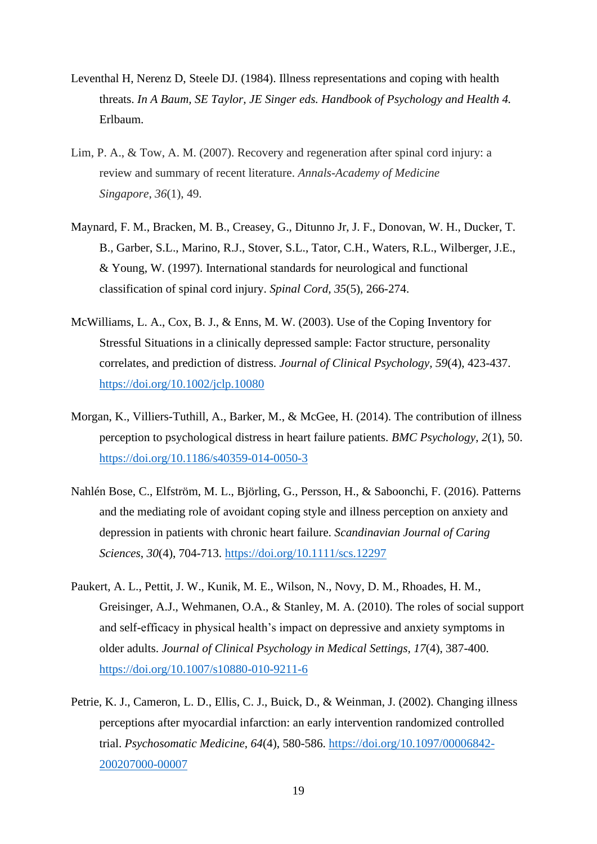- Leventhal H, Nerenz D, Steele DJ. (1984). Illness representations and coping with health threats. *In A Baum, SE Taylor, JE Singer eds. Handbook of Psychology and Health 4.*  Erlbaum.
- Lim, P. A., & Tow, A. M. (2007). Recovery and regeneration after spinal cord injury: a review and summary of recent literature. *Annals-Academy of Medicine Singapore*, *36*(1), 49.
- Maynard, F. M., Bracken, M. B., Creasey, G., Ditunno Jr, J. F., Donovan, W. H., Ducker, T. B., Garber, S.L., Marino, R.J., Stover, S.L., Tator, C.H., Waters, R.L., Wilberger, J.E., & Young, W. (1997). International standards for neurological and functional classification of spinal cord injury. *Spinal Cord, 35*(5), 266-274.
- McWilliams, L. A., Cox, B. J., & Enns, M. W. (2003). Use of the Coping Inventory for Stressful Situations in a clinically depressed sample: Factor structure, personality correlates, and prediction of distress. *Journal of Clinical Psychology, 59*(4), 423-437. <https://doi.org/10.1002/jclp.10080>
- Morgan, K., Villiers-Tuthill, A., Barker, M., & McGee, H. (2014). The contribution of illness perception to psychological distress in heart failure patients. *BMC Psychology*, *2*(1), 50. <https://doi.org/10.1186/s40359-014-0050-3>
- Nahlén Bose, C., Elfström, M. L., Björling, G., Persson, H., & Saboonchi, F. (2016). Patterns and the mediating role of avoidant coping style and illness perception on anxiety and depression in patients with chronic heart failure. *Scandinavian Journal of Caring Sciences*, *30*(4), 704-713. <https://doi.org/10.1111/scs.12297>
- Paukert, A. L., Pettit, J. W., Kunik, M. E., Wilson, N., Novy, D. M., Rhoades, H. M., Greisinger, A.J., Wehmanen, O.A., & Stanley, M. A. (2010). The roles of social support and self-efficacy in physical health's impact on depressive and anxiety symptoms in older adults. *Journal of Clinical Psychology in Medical Settings, 17*(4), 387-400. <https://doi.org/10.1007/s10880-010-9211-6>
- Petrie, K. J., Cameron, L. D., Ellis, C. J., Buick, D., & Weinman, J. (2002). Changing illness perceptions after myocardial infarction: an early intervention randomized controlled trial. *Psychosomatic Medicine*, *64*(4), 580-586. [https://doi.org/10.1097/00006842-](https://doi.org/10.1097/00006842-200207000-00007) [200207000-00007](https://doi.org/10.1097/00006842-200207000-00007)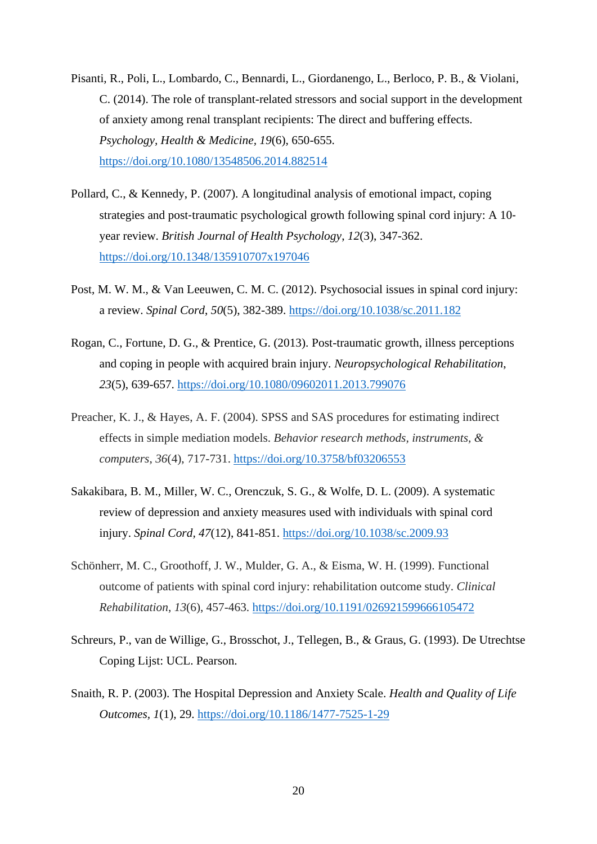- Pisanti, R., Poli, L., Lombardo, C., Bennardi, L., Giordanengo, L., Berloco, P. B., & Violani, C. (2014). The role of transplant-related stressors and social support in the development of anxiety among renal transplant recipients: The direct and buffering effects. *Psychology, Health & Medicine, 19*(6), 650-655. <https://doi.org/10.1080/13548506.2014.882514>
- Pollard, C., & Kennedy, P. (2007). A longitudinal analysis of emotional impact, coping strategies and post-traumatic psychological growth following spinal cord injury: A 10– year review. *British Journal of Health Psychology*, *12*(3), 347-362. <https://doi.org/10.1348/135910707x197046>
- Post, M. W. M., & Van Leeuwen, C. M. C. (2012). Psychosocial issues in spinal cord injury: a review. *Spinal Cord*, *50*(5), 382-389. <https://doi.org/10.1038/sc.2011.182>
- Rogan, C., Fortune, D. G., & Prentice, G. (2013). Post-traumatic growth, illness perceptions and coping in people with acquired brain injury. *Neuropsychological Rehabilitation*, *23*(5), 639-657. <https://doi.org/10.1080/09602011.2013.799076>
- Preacher, K. J., & Hayes, A. F. (2004). SPSS and SAS procedures for estimating indirect effects in simple mediation models. *Behavior research methods, instruments, & computers*, *36*(4), 717-731. <https://doi.org/10.3758/bf03206553>
- Sakakibara, B. M., Miller, W. C., Orenczuk, S. G., & Wolfe, D. L. (2009). A systematic review of depression and anxiety measures used with individuals with spinal cord injury. *Spinal Cord, 47*(12), 841-851.<https://doi.org/10.1038/sc.2009.93>
- Schönherr, M. C., Groothoff, J. W., Mulder, G. A., & Eisma, W. H. (1999). Functional outcome of patients with spinal cord injury: rehabilitation outcome study. *Clinical Rehabilitation*, *13*(6), 457-463. <https://doi.org/10.1191/026921599666105472>
- Schreurs, P., van de Willige, G., Brosschot, J., Tellegen, B., & Graus, G. (1993). De Utrechtse Coping Lijst: UCL. Pearson.
- Snaith, R. P. (2003). The Hospital Depression and Anxiety Scale. *Health and Quality of Life Outcomes, 1*(1), 29.<https://doi.org/10.1186/1477-7525-1-29>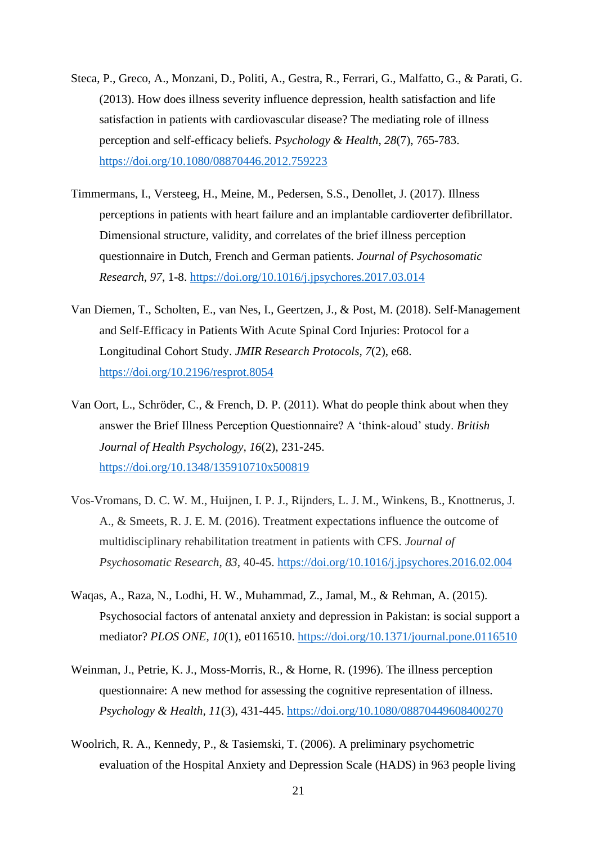- Steca, P., Greco, A., Monzani, D., Politi, A., Gestra, R., Ferrari, G., Malfatto, G., & Parati, G. (2013). How does illness severity influence depression, health satisfaction and life satisfaction in patients with cardiovascular disease? The mediating role of illness perception and self-efficacy beliefs. *Psychology & Health*, *28*(7), 765-783. <https://doi.org/10.1080/08870446.2012.759223>
- Timmermans, I., Versteeg, H., Meine, M., Pedersen, S.S., Denollet, J. (2017). Illness perceptions in patients with heart failure and an implantable cardioverter defibrillator. Dimensional structure, validity, and correlates of the brief illness perception questionnaire in Dutch, French and German patients. *Journal of Psychosomatic Research, 97*, 1-8.<https://doi.org/10.1016/j.jpsychores.2017.03.014>
- Van Diemen, T., Scholten, E., van Nes, I., Geertzen, J., & Post, M. (2018). Self-Management and Self-Efficacy in Patients With Acute Spinal Cord Injuries: Protocol for a Longitudinal Cohort Study. *JMIR Research Protocols, 7*(2), e68. <https://doi.org/10.2196/resprot.8054>
- Van Oort, L., Schröder, C., & French, D. P. (2011). What do people think about when they answer the Brief Illness Perception Questionnaire? A 'think‐aloud' study. *British Journal of Health Psychology, 16*(2), 231-245. <https://doi.org/10.1348/135910710x500819>
- Vos-Vromans, D. C. W. M., Huijnen, I. P. J., Rijnders, L. J. M., Winkens, B., Knottnerus, J. A., & Smeets, R. J. E. M. (2016). Treatment expectations influence the outcome of multidisciplinary rehabilitation treatment in patients with CFS. *Journal of Psychosomatic Research*, *83*, 40-45. <https://doi.org/10.1016/j.jpsychores.2016.02.004>
- Waqas, A., Raza, N., Lodhi, H. W., Muhammad, Z., Jamal, M., & Rehman, A. (2015). Psychosocial factors of antenatal anxiety and depression in Pakistan: is social support a mediator? *PLOS ONE, 10*(1), e0116510. <https://doi.org/10.1371/journal.pone.0116510>
- Weinman, J., Petrie, K. J., Moss-Morris, R., & Horne, R. (1996). The illness perception questionnaire: A new method for assessing the cognitive representation of illness. *Psychology & Health, 11*(3), 431-445.<https://doi.org/10.1080/08870449608400270>
- Woolrich, R. A., Kennedy, P., & Tasiemski, T. (2006). A preliminary psychometric evaluation of the Hospital Anxiety and Depression Scale (HADS) in 963 people living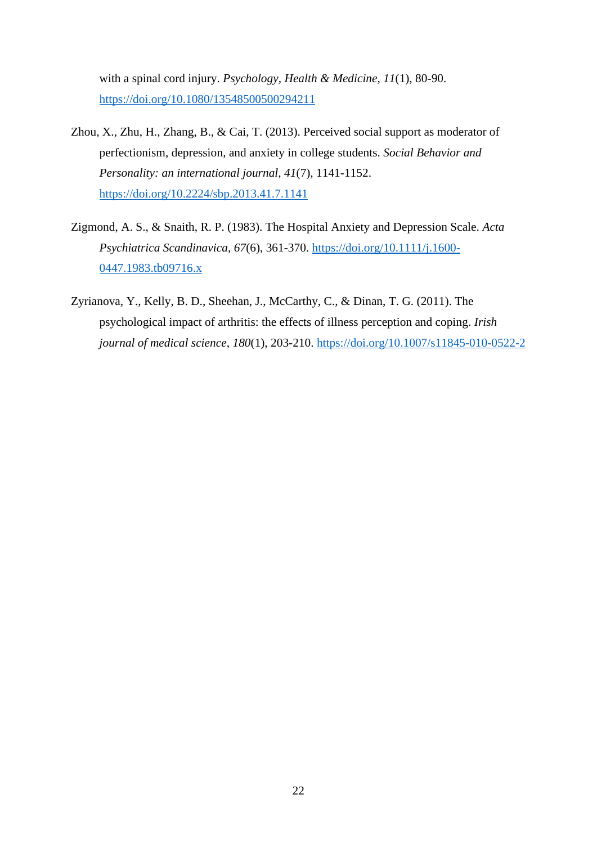with a spinal cord injury. *Psychology, Health & Medicine, 11*(1), 80-90. <https://doi.org/10.1080/13548500500294211>

- Zhou, X., Zhu, H., Zhang, B., & Cai, T. (2013). Perceived social support as moderator of perfectionism, depression, and anxiety in college students. *Social Behavior and Personality: an international journal, 41*(7), 1141-1152. <https://doi.org/10.2224/sbp.2013.41.7.1141>
- Zigmond, A. S., & Snaith, R. P. (1983). The Hospital Anxiety and Depression Scale. *Acta Psychiatrica Scandinavica, 67*(6), 361-370. [https://doi.org/10.1111/j.1600-](https://doi.org/10.1111/j.1600-0447.1983.tb09716.x) [0447.1983.tb09716.x](https://doi.org/10.1111/j.1600-0447.1983.tb09716.x)
- Zyrianova, Y., Kelly, B. D., Sheehan, J., McCarthy, C., & Dinan, T. G. (2011). The psychological impact of arthritis: the effects of illness perception and coping. *Irish journal of medical science*, *180*(1), 203-210. <https://doi.org/10.1007/s11845-010-0522-2>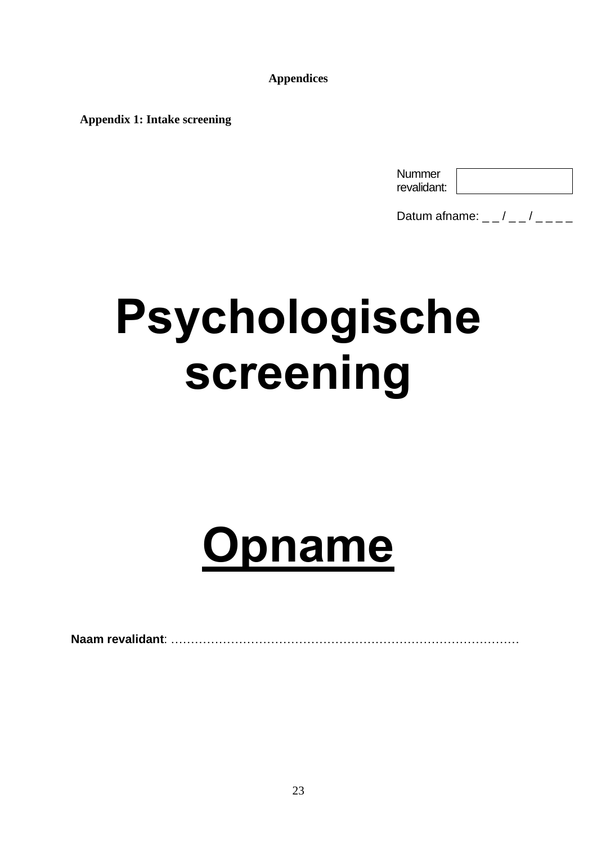**Appendices**

 **Appendix 1: Intake screening**

| Nummer      |  |
|-------------|--|
| revalidant: |  |

Datum afname:  $-$  /  $-$  /  $-$ 

# **Psychologische screening**

# **Opname**

**Naam revalidant**: ……………………………………………………………………………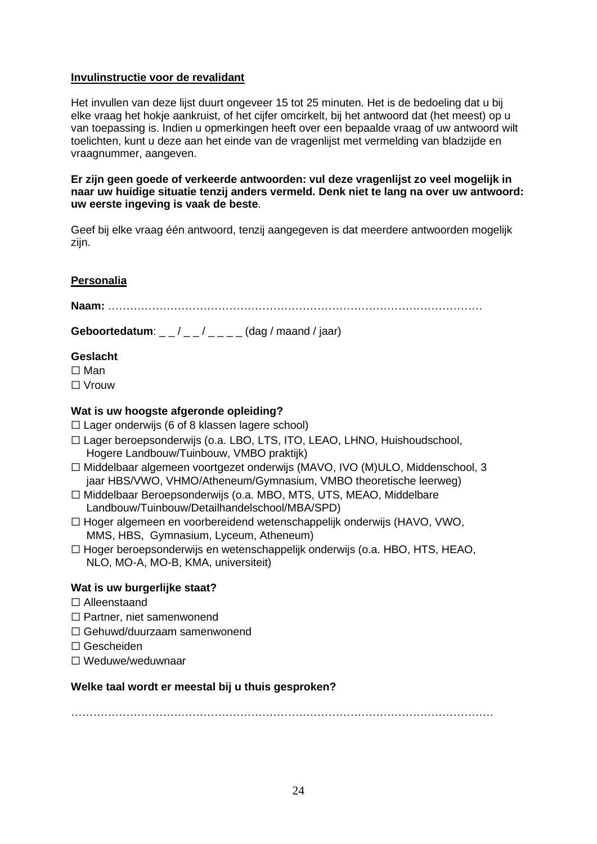# **Invulinstructie voor de revalidant**

Het invullen van deze lijst duurt ongeveer 15 tot 25 minuten. Het is de bedoeling dat u bij elke vraag het hokje aankruist, of het cijfer omcirkelt, bij het antwoord dat (het meest) op u van toepassing is. Indien u opmerkingen heeft over een bepaalde vraag of uw antwoord wilt toelichten, kunt u deze aan het einde van de vragenlijst met vermelding van bladzijde en vraagnummer, aangeven.

**Er zijn geen goede of verkeerde antwoorden: vul deze vragenlijst zo veel mogelijk in naar uw huidige situatie tenzij anders vermeld. Denk niet te lang na over uw antwoord: uw eerste ingeving is vaak de beste**.

Geef bij elke vraag één antwoord, tenzij aangegeven is dat meerdere antwoorden mogelijk zijn.

# **Personalia**

**Naam:** …………………………………………………………………………………………

**Geboortedatum**: \_\_/ \_\_/ \_\_ \_ (dag / maand / jaar)

# **Geslacht**

- ☐ Man
- ☐ Vrouw

# **Wat is uw hoogste afgeronde opleiding?**

- $\Box$  Lager onderwijs (6 of 8 klassen lagere school)
- ☐ Lager beroepsonderwijs (o.a. LBO, LTS, ITO, LEAO, LHNO, Huishoudschool, Hogere Landbouw/Tuinbouw, VMBO praktijk)
- ☐ Middelbaar algemeen voortgezet onderwijs (MAVO, IVO (M)ULO, Middenschool, 3 jaar HBS/VWO, VHMO/Atheneum/Gymnasium, VMBO theoretische leerweg)
- ☐ Middelbaar Beroepsonderwijs (o.a. MBO, MTS, UTS, MEAO, Middelbare Landbouw/Tuinbouw/Detailhandelschool/MBA/SPD)
- ☐ Hoger algemeen en voorbereidend wetenschappelijk onderwijs (HAVO, VWO, MMS, HBS, Gymnasium, Lyceum, Atheneum)
- ☐ Hoger beroepsonderwijs en wetenschappelijk onderwijs (o.a. HBO, HTS, HEAO, NLO, MO-A, MO-B, KMA, universiteit)

# **Wat is uw burgerlijke staat?**

- ☐ Alleenstaand
- ☐ Partner, niet samenwonend
- ☐ Gehuwd/duurzaam samenwonend
- ☐ Gescheiden
- ☐ Weduwe/weduwnaar

# **Welke taal wordt er meestal bij u thuis gesproken?**

…………………………………………………………………………………………………….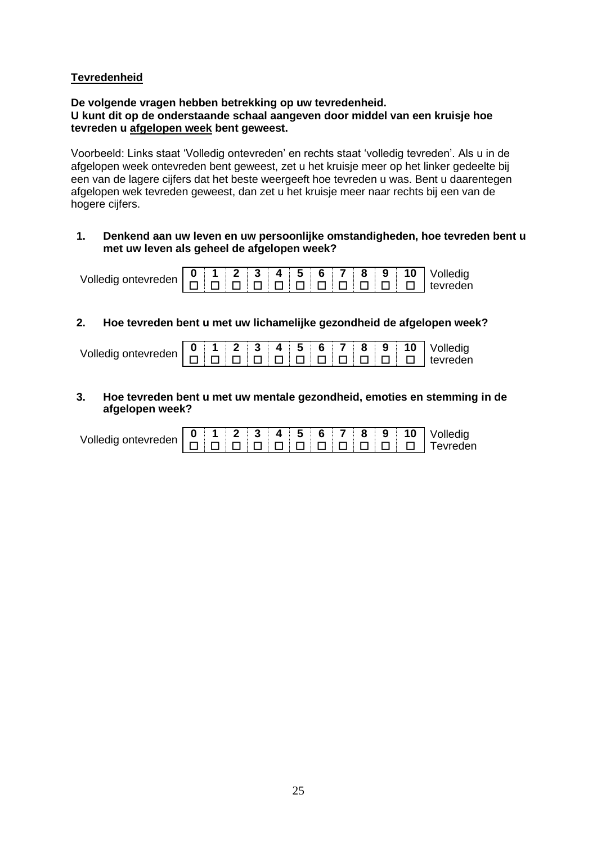# **Tevredenheid**

**De volgende vragen hebben betrekking op uw tevredenheid. U kunt dit op de onderstaande schaal aangeven door middel van een kruisje hoe tevreden u afgelopen week bent geweest.** 

Voorbeeld: Links staat 'Volledig ontevreden' en rechts staat 'volledig tevreden'. Als u in de afgelopen week ontevreden bent geweest, zet u het kruisje meer op het linker gedeelte bij een van de lagere cijfers dat het beste weergeeft hoe tevreden u was. Bent u daarentegen afgelopen wek tevreden geweest, dan zet u het kruisje meer naar rechts bij een van de hogere cijfers.

# **1. Denkend aan uw leven en uw persoonlijke omstandigheden, hoe tevreden bent u met uw leven als geheel de afgelopen week?**

|--|--|--|--|--|--|--|--|--|--|--|--|--|

# **2. Hoe tevreden bent u met uw lichamelijke gezondheid de afgelopen week?**

|                                                                                                                                                                                                                                                                                                                                                                                                                                                                                                                                                                                          |  |  |  |  |  | $0$   1   2   3   4   5   6   7   8   9   10   Volledig |
|------------------------------------------------------------------------------------------------------------------------------------------------------------------------------------------------------------------------------------------------------------------------------------------------------------------------------------------------------------------------------------------------------------------------------------------------------------------------------------------------------------------------------------------------------------------------------------------|--|--|--|--|--|---------------------------------------------------------|
| volledig ontevreden $\left  \begin{array}{c} \blacksquare \\ \square \end{array} \right  \left  \begin{array}{c} \blacksquare \\ \square \end{array} \right  \left  \begin{array}{c} \blacksquare \\ \square \end{array} \right  \left  \begin{array}{c} \blacksquare \\ \square \end{array} \right  \left  \begin{array}{c} \square \\ \square \end{array} \right  \left  \begin{array}{c} \square \\ \square \end{array} \right  \left  \begin{array}{c} \square \\ \square \end{array} \right  \left  \begin{array}{c} \square \\ \square \end{array} \right  \left  \begin{array}{c$ |  |  |  |  |  |                                                         |

**3. Hoe tevreden bent u met uw mentale gezondheid, emoties en stemming in de afgelopen week?**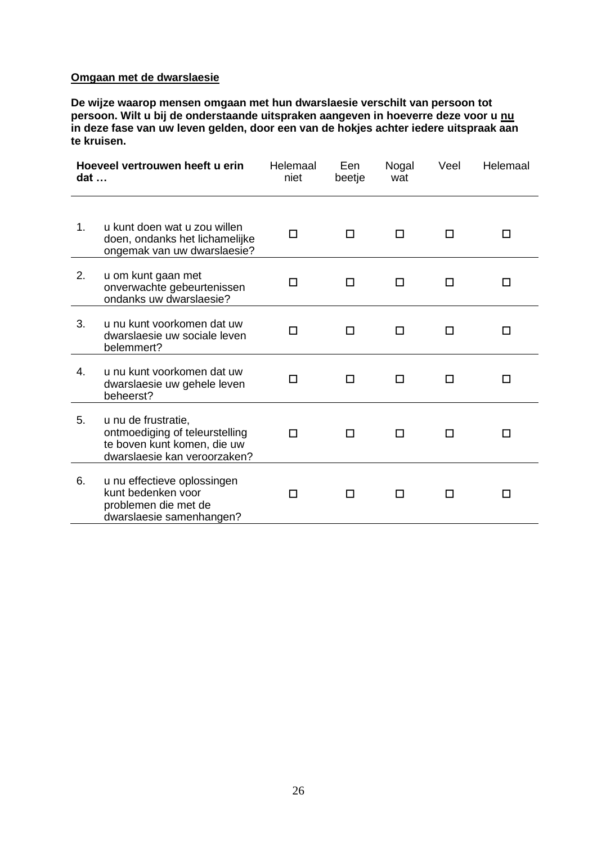# **Omgaan met de dwarslaesie**

**De wijze waarop mensen omgaan met hun dwarslaesie verschilt van persoon tot persoon. Wilt u bij de onderstaande uitspraken aangeven in hoeverre deze voor u nu in deze fase van uw leven gelden, door een van de hokjes achter iedere uitspraak aan te kruisen.**

| $dat \dots$    | Hoeveel vertrouwen heeft u erin                                                                                      | Helemaal<br>niet | Een<br>beetje | Nogal<br>wat | Veel | Helemaal |
|----------------|----------------------------------------------------------------------------------------------------------------------|------------------|---------------|--------------|------|----------|
| 1.             | u kunt doen wat u zou willen<br>doen, ondanks het lichamelijke<br>ongemak van uw dwarslaesie?                        | П                | п             | П            | П    | ΙI       |
| 2.             | u om kunt gaan met<br>onverwachte gebeurtenissen<br>ondanks uw dwarslaesie?                                          |                  | ΙI            | l I          |      | ΙI       |
| 3.             | u nu kunt voorkomen dat uw<br>dwarslaesie uw sociale leven<br>belemmert?                                             |                  | П             | l 1          |      | П        |
| $\mathbf{4}$ . | u nu kunt voorkomen dat uw<br>dwarslaesie uw gehele leven<br>beheerst?                                               |                  | П             |              |      |          |
| 5.             | u nu de frustratie,<br>ontmoediging of teleurstelling<br>te boven kunt komen, die uw<br>dwarslaesie kan veroorzaken? | П                | П             |              |      |          |
| 6.             | u nu effectieve oplossingen<br>kunt bedenken voor<br>problemen die met de<br>dwarslaesie samenhangen?                | П                | П             | П            |      |          |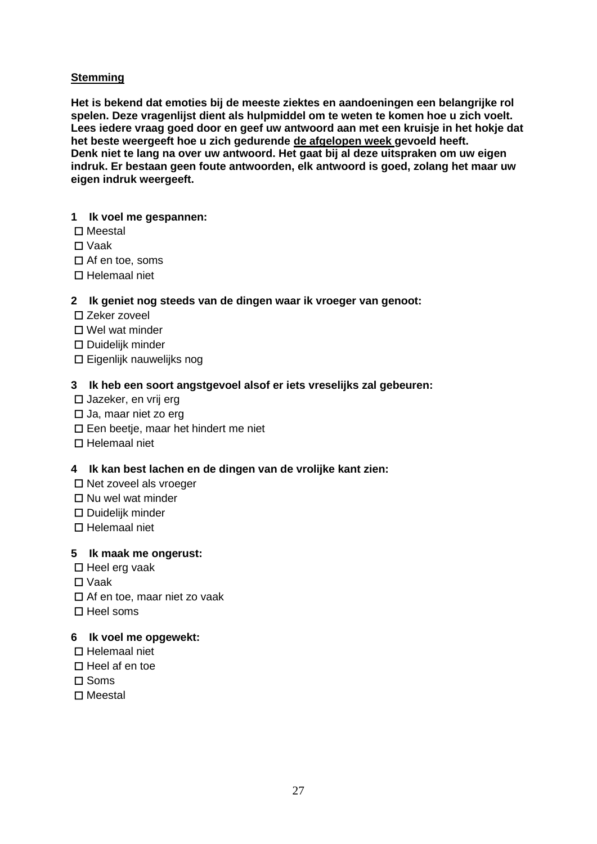# **Stemming**

**Het is bekend dat emoties bij de meeste ziektes en aandoeningen een belangrijke rol spelen. Deze vragenlijst dient als hulpmiddel om te weten te komen hoe u zich voelt. Lees iedere vraag goed door en geef uw antwoord aan met een kruisje in het hokje dat het beste weergeeft hoe u zich gedurende de afgelopen week gevoeld heeft. Denk niet te lang na over uw antwoord. Het gaat bij al deze uitspraken om uw eigen indruk. Er bestaan geen foute antwoorden, elk antwoord is goed, zolang het maar uw eigen indruk weergeeft.** 

# **1 Ik voel me gespannen:**

- ☐ Meestal
- ☐ Vaak
- ☐ Af en toe, soms
- ☐ Helemaal niet

# **2 Ik geniet nog steeds van de dingen waar ik vroeger van genoot:**

- ☐ Zeker zoveel
- ☐ Wel wat minder
- ☐ Duidelijk minder
- ☐ Eigenlijk nauwelijks nog

# **3 Ik heb een soort angstgevoel alsof er iets vreselijks zal gebeuren:**

- ☐ Jazeker, en vrij erg
- ☐ Ja, maar niet zo erg
- ☐ Een beetje, maar het hindert me niet
- ☐ Helemaal niet

# **4 Ik kan best lachen en de dingen van de vrolijke kant zien:**

- ☐ Net zoveel als vroeger
- ☐ Nu wel wat minder
- ☐ Duidelijk minder
- ☐ Helemaal niet

# **5 Ik maak me ongerust:**

- ☐ Heel erg vaak
- ☐ Vaak
- ☐ Af en toe, maar niet zo vaak
- $\Pi$  Heel soms

# **6 Ik voel me opgewekt:**

- ☐ Helemaal niet
- ☐ Heel af en toe
- ☐ Soms
- ☐ Meestal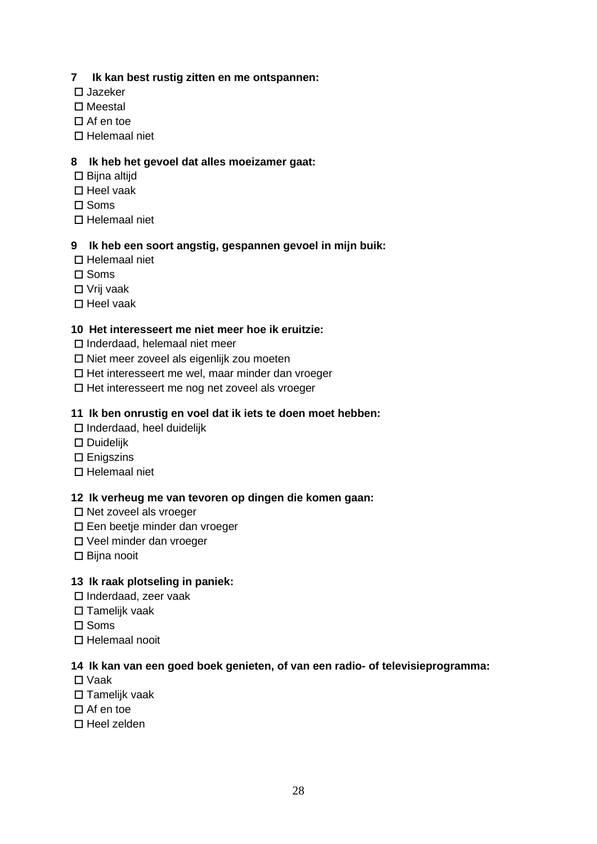# **7 Ik kan best rustig zitten en me ontspannen:**

- ☐ Jazeker
- ☐ Meestal
- ☐ Af en toe
- ☐ Helemaal niet

# **8 Ik heb het gevoel dat alles moeizamer gaat:**

- ☐ Bijna altijd
- ☐ Heel vaak
- ☐ Soms
- ☐ Helemaal niet

# **9 Ik heb een soort angstig, gespannen gevoel in mijn buik:**

- ☐ Helemaal niet
- ☐ Soms
- ☐ Vrij vaak
- ☐ Heel vaak

# **10 Het interesseert me niet meer hoe ik eruitzie:**

- ☐ Inderdaad, helemaal niet meer
- ☐ Niet meer zoveel als eigenlijk zou moeten
- ☐ Het interesseert me wel, maar minder dan vroeger
- ☐ Het interesseert me nog net zoveel als vroeger

# **11 Ik ben onrustig en voel dat ik iets te doen moet hebben:**

- ☐ Inderdaad, heel duidelijk
- ☐ Duidelijk
- ☐ Enigszins
- ☐ Helemaal niet

# **12 Ik verheug me van tevoren op dingen die komen gaan:**

- ☐ Net zoveel als vroeger
- ☐ Een beetje minder dan vroeger
- ☐ Veel minder dan vroeger
- ☐ Bijna nooit

# **13 Ik raak plotseling in paniek:**

- ☐ Inderdaad, zeer vaak
- ☐ Tamelijk vaak
- ☐ Soms
- ☐ Helemaal nooit

# **14 Ik kan van een goed boek genieten, of van een radio- of televisieprogramma:**

- ☐ Vaak
- ☐ Tamelijk vaak
- $\Pi$  Af en toe
- ☐ Heel zelden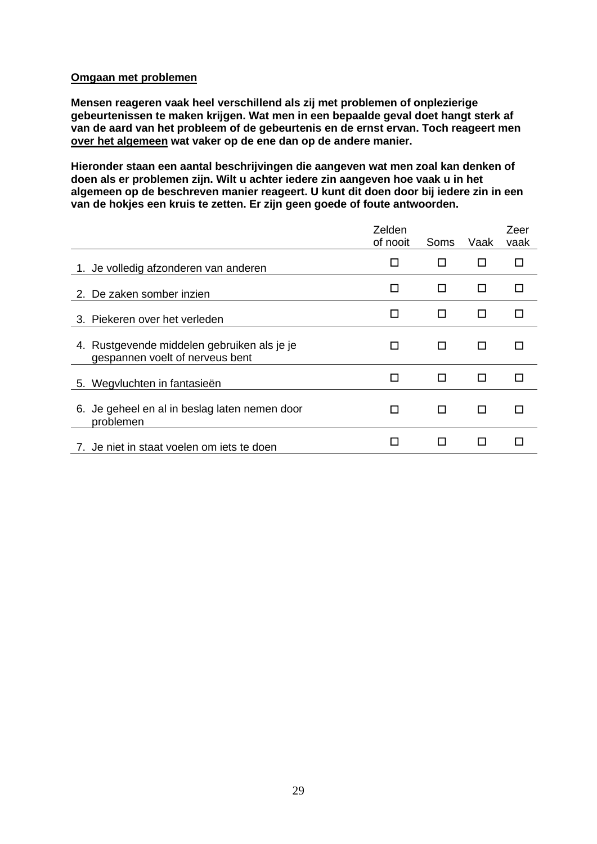# **Omgaan met problemen**

**Mensen reageren vaak heel verschillend als zij met problemen of onplezierige gebeurtenissen te maken krijgen. Wat men in een bepaalde geval doet hangt sterk af van de aard van het probleem of de gebeurtenis en de ernst ervan. Toch reageert men over het algemeen wat vaker op de ene dan op de andere manier.** 

**Hieronder staan een aantal beschrijvingen die aangeven wat men zoal kan denken of doen als er problemen zijn. Wilt u achter iedere zin aangeven hoe vaak u in het algemeen op de beschreven manier reageert. U kunt dit doen door bij iedere zin in een van de hokjes een kruis te zetten. Er zijn geen goede of foute antwoorden.** 

|                                                                                | Zelden<br>of nooit | Soms | Vaak | Zeer<br>vaak |
|--------------------------------------------------------------------------------|--------------------|------|------|--------------|
| 1. Je volledig afzonderen van anderen                                          | П                  | П    | П    | п            |
| 2. De zaken somber inzien                                                      | П                  | П    | П    | п            |
| 3. Piekeren over het verleden                                                  | п                  | П    | П    | п            |
| 4. Rustgevende middelen gebruiken als je je<br>gespannen voelt of nerveus bent |                    | П    | П    |              |
| 5. Wegvluchten in fantasieën                                                   |                    | П    | П    | П            |
| 6. Je geheel en al in beslag laten nemen door<br>problemen                     | l l                | П    | П    | H            |
| 7. Je niet in staat voelen om iets te doen                                     |                    | l l  | П    |              |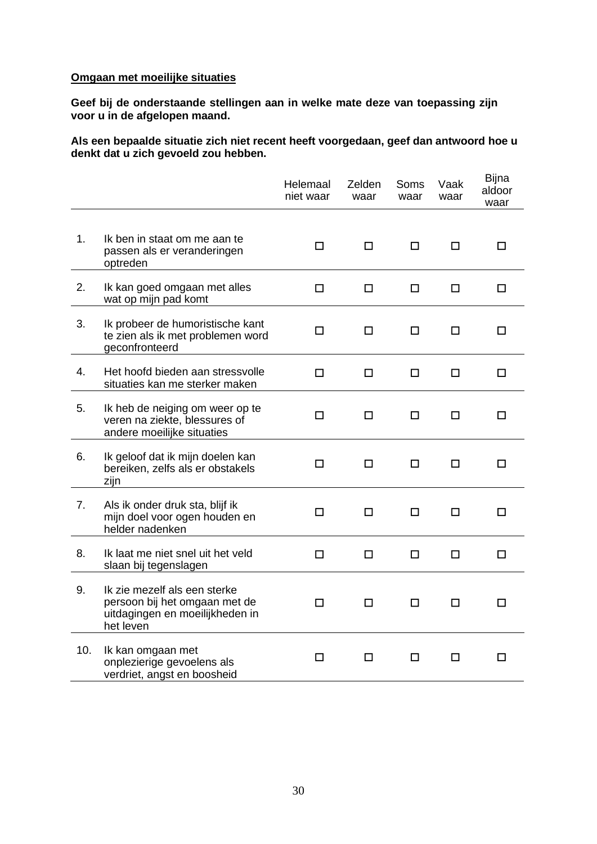# **Omgaan met moeilijke situaties**

**Geef bij de onderstaande stellingen aan in welke mate deze van toepassing zijn voor u in de afgelopen maand.** 

**Als een bepaalde situatie zich niet recent heeft voorgedaan, geef dan antwoord hoe u denkt dat u zich gevoeld zou hebben.**

|     |                                                                                                               | Helemaal<br>niet waar | Zelden<br>waar | Soms<br>waar | Vaak<br>waar | Bijna<br>aldoor<br>waar |
|-----|---------------------------------------------------------------------------------------------------------------|-----------------------|----------------|--------------|--------------|-------------------------|
| 1.  | Ik ben in staat om me aan te<br>passen als er veranderingen<br>optreden                                       | П                     | $\Box$         | $\Box$       | □            | □                       |
| 2.  | Ik kan goed omgaan met alles<br>wat op mijn pad komt                                                          | □                     | □              | □            | □            | □                       |
| 3.  | Ik probeer de humoristische kant<br>te zien als ik met problemen word<br>geconfronteerd                       | П                     | П              | □            | П            | □                       |
| 4.  | Het hoofd bieden aan stressvolle<br>situaties kan me sterker maken                                            | П                     | □              | □            | □            | □                       |
| 5.  | Ik heb de neiging om weer op te<br>veren na ziekte, blessures of<br>andere moeilijke situaties                | □                     | □              | □            | □            | □                       |
| 6.  | Ik geloof dat ik mijn doelen kan<br>bereiken, zelfs als er obstakels<br>zijn                                  | □                     | ◻              | ◻            | □            | □                       |
| 7.  | Als ik onder druk sta, blijf ik<br>mijn doel voor ogen houden en<br>helder nadenken                           | □                     | □              | □            | □            | □                       |
| 8.  | Ik laat me niet snel uit het veld<br>slaan bij tegenslagen                                                    | $\Box$                | □              | $\Box$       | $\Box$       | $\Box$                  |
| 9.  | Ik zie mezelf als een sterke<br>persoon bij het omgaan met de<br>uitdagingen en moeilijkheden in<br>het leven | □                     | □              | □            | □            | □                       |
| 10. | Ik kan omgaan met<br>onplezierige gevoelens als<br>verdriet, angst en boosheid                                | □                     | □              | □            | □            | $\Box$                  |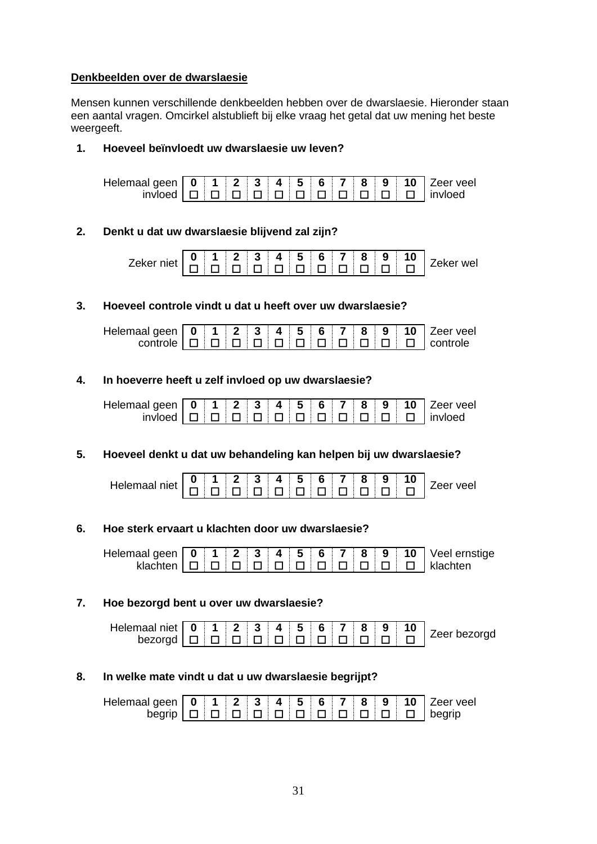# **Denkbeelden over de dwarslaesie**

Mensen kunnen verschillende denkbeelden hebben over de dwarslaesie. Hieronder staan een aantal vragen. Omcirkel alstublieft bij elke vraag het getal dat uw mening het beste weergeeft.

# **1. Hoeveel beïnvloedt uw dwarslaesie uw leven?**

|  |  |  |  |  |  | $invloed \Box \Box \Box \Box \Box \Box \Box \Box \Box \Box \Box \Box \Box \Box$ |
|--|--|--|--|--|--|---------------------------------------------------------------------------------|

# **2. Denkt u dat uw dwarslaesie blijvend zal zijn?**



# **3. Hoeveel controle vindt u dat u heeft over uw dwarslaesie?**

# **4. In hoeverre heeft u zelf invloed op uw dwarslaesie?**

| Helemaal geen   0   1   2   3   4   5   6   7   8   9   10   Zeer veel |  |  |  |  |  |                                                                                 |
|------------------------------------------------------------------------|--|--|--|--|--|---------------------------------------------------------------------------------|
|                                                                        |  |  |  |  |  | $invloed \Box \Box \Box \Box \Box \Box \Box \Box \Box \Box \Box \Box \Box \Box$ |

# **5. Hoeveel denkt u dat uw behandeling kan helpen bij uw dwarslaesie?**

| Helemaal niet $\begin{array}{ c c c c c c }\hline \textbf{0} & \textbf{1} & \textbf{2} & \textbf{3} & \textbf{4} & \textbf{5} & \textbf{6} & \textbf{7} & \textbf{8} & \textbf{9} & \textbf{10} \ \textbf{0} & \textbf{0} & \textbf{0} & \textbf{0} & \textbf{0} & \textbf{0} & \textbf{0} & \textbf{0} & \textbf{0} & \textbf{0} \ \hline \end{array}$ |  |  |  |  |  | Zeer veel |
|---------------------------------------------------------------------------------------------------------------------------------------------------------------------------------------------------------------------------------------------------------------------------------------------------------------------------------------------------------|--|--|--|--|--|-----------|
|                                                                                                                                                                                                                                                                                                                                                         |  |  |  |  |  |           |

# **6. Hoe sterk ervaart u klachten door uw dwarslaesie?**

|  |  |  |  |  |  | klachten $\boxed{ \Box \Box \Box \Box \Box \Box \Box \Box \Box \Box \Box \Box \Box }$ E   klachten |
|--|--|--|--|--|--|----------------------------------------------------------------------------------------------------|

# **7. Hoe bezorgd bent u over uw dwarslaesie?**

# **8. In welke mate vindt u dat u uw dwarslaesie begrijpt?**

| Helemaal geen   0   1   2   3   4   5   6   7   8   9   10   Zeer veel |  |  |  |  |  |                                                                                                                                                   |
|------------------------------------------------------------------------|--|--|--|--|--|---------------------------------------------------------------------------------------------------------------------------------------------------|
|                                                                        |  |  |  |  |  | begrip $\boxed{\Box}$ $\boxed{\Box}$ $\boxed{\Box}$ $\boxed{\Box}$ $\boxed{\Box}$ $\boxed{\Box}$ $\boxed{\Box}$ $\boxed{\Box}$ $\boxed{\Diamond}$ |